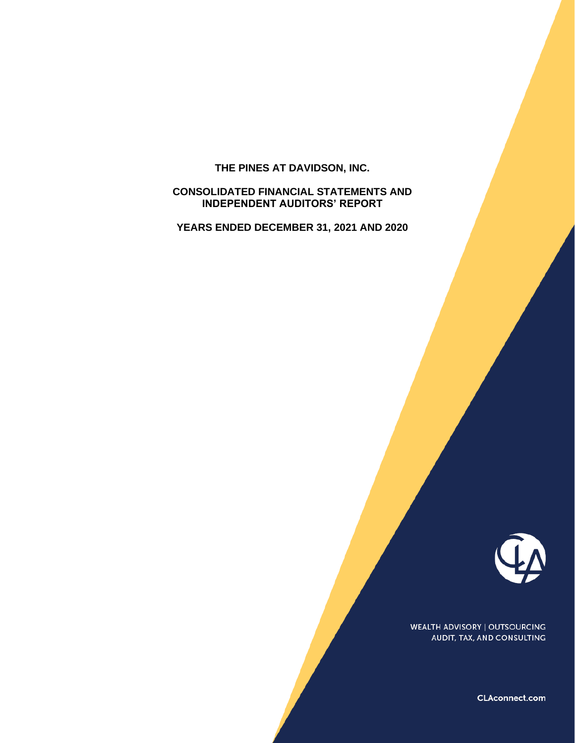# **THE PINES AT DAVIDSON, INC.**

# **CONSOLIDATED FINANCIAL STATEMENTS AND INDEPENDENT AUDITORS' REPORT**

**YEARS ENDED DECEMBER 31, 2021 AND 2020** 



**WEALTH ADVISORY | OUTSOURCING** AUDIT, TAX, AND CONSULTING

CLAconnect.com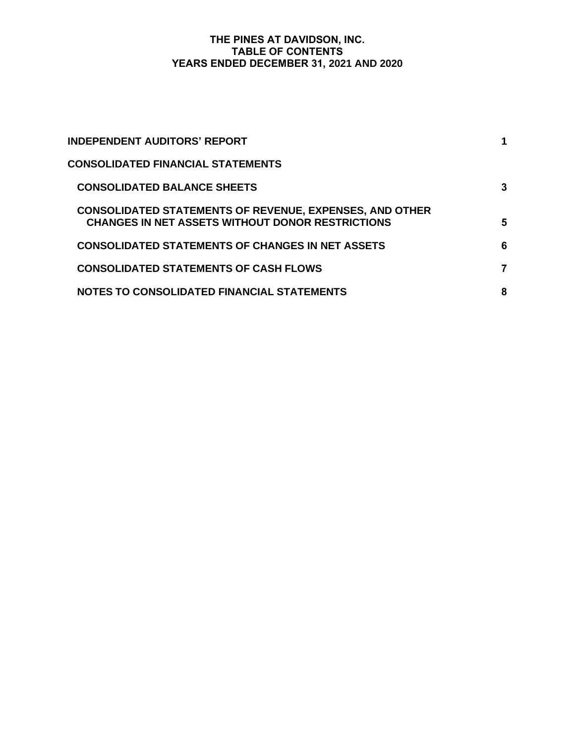# **THE PINES AT DAVIDSON, INC. TABLE OF CONTENTS YEARS ENDED DECEMBER 31, 2021 AND 2020**

| <b>INDEPENDENT AUDITORS' REPORT</b>                                                                                       |   |
|---------------------------------------------------------------------------------------------------------------------------|---|
| <b>CONSOLIDATED FINANCIAL STATEMENTS</b>                                                                                  |   |
| <b>CONSOLIDATED BALANCE SHEETS</b>                                                                                        | 3 |
| <b>CONSOLIDATED STATEMENTS OF REVENUE, EXPENSES, AND OTHER</b><br><b>CHANGES IN NET ASSETS WITHOUT DONOR RESTRICTIONS</b> | 5 |
| <b>CONSOLIDATED STATEMENTS OF CHANGES IN NET ASSETS</b>                                                                   | 6 |
| <b>CONSOLIDATED STATEMENTS OF CASH FLOWS</b>                                                                              | 7 |
| <b>NOTES TO CONSOLIDATED FINANCIAL STATEMENTS</b>                                                                         | 8 |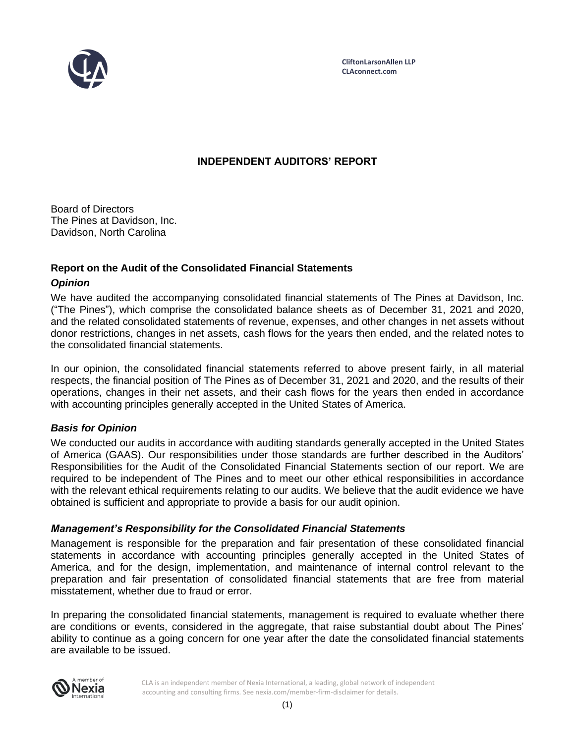

# **INDEPENDENT AUDITORS' REPORT**

Board of Directors The Pines at Davidson, Inc. Davidson, North Carolina

# **Report on the Audit of the Consolidated Financial Statements**

# *Opinion*

We have audited the accompanying consolidated financial statements of The Pines at Davidson, Inc. ("The Pines"), which comprise the consolidated balance sheets as of December 31, 2021 and 2020, and the related consolidated statements of revenue, expenses, and other changes in net assets without donor restrictions, changes in net assets, cash flows for the years then ended, and the related notes to the consolidated financial statements.

In our opinion, the consolidated financial statements referred to above present fairly, in all material respects, the financial position of The Pines as of December 31, 2021 and 2020, and the results of their operations, changes in their net assets, and their cash flows for the years then ended in accordance with accounting principles generally accepted in the United States of America.

# *Basis for Opinion*

We conducted our audits in accordance with auditing standards generally accepted in the United States of America (GAAS). Our responsibilities under those standards are further described in the Auditors' Responsibilities for the Audit of the Consolidated Financial Statements section of our report. We are required to be independent of The Pines and to meet our other ethical responsibilities in accordance with the relevant ethical requirements relating to our audits. We believe that the audit evidence we have obtained is sufficient and appropriate to provide a basis for our audit opinion.

# *Management's Responsibility for the Consolidated Financial Statements*

Management is responsible for the preparation and fair presentation of these consolidated financial statements in accordance with accounting principles generally accepted in the United States of America, and for the design, implementation, and maintenance of internal control relevant to the preparation and fair presentation of consolidated financial statements that are free from material misstatement, whether due to fraud or error.

In preparing the consolidated financial statements, management is required to evaluate whether there are conditions or events, considered in the aggregate, that raise substantial doubt about The Pines' ability to continue as a going concern for one year after the date the consolidated financial statements are available to be issued.



CLA is an independent member of Nexia International, a leading, global network of independent accounting and consulting firms. See nexia.com/member-firm-disclaimer for details.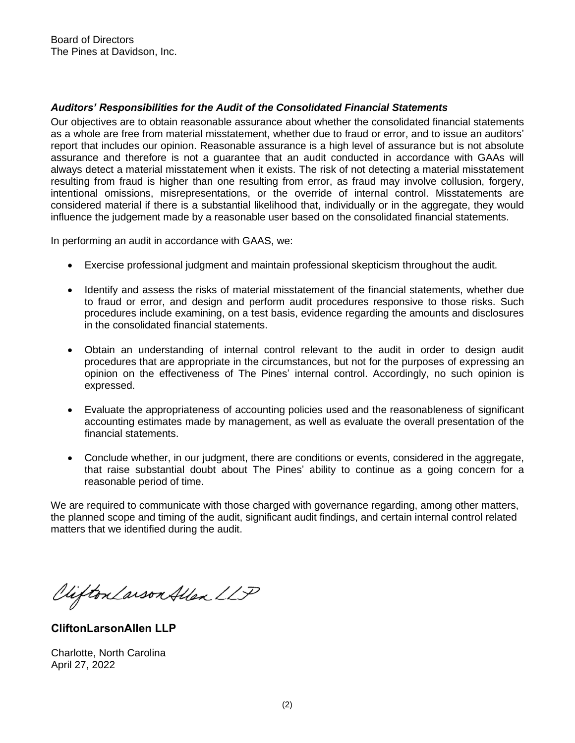# *Auditors' Responsibilities for the Audit of the Consolidated Financial Statements*

Our objectives are to obtain reasonable assurance about whether the consolidated financial statements as a whole are free from material misstatement, whether due to fraud or error, and to issue an auditors' report that includes our opinion. Reasonable assurance is a high level of assurance but is not absolute assurance and therefore is not a guarantee that an audit conducted in accordance with GAAs will always detect a material misstatement when it exists. The risk of not detecting a material misstatement resulting from fraud is higher than one resulting from error, as fraud may involve collusion, forgery, intentional omissions, misrepresentations, or the override of internal control. Misstatements are considered material if there is a substantial likelihood that, individually or in the aggregate, they would influence the judgement made by a reasonable user based on the consolidated financial statements.

In performing an audit in accordance with GAAS, we:

- Exercise professional judgment and maintain professional skepticism throughout the audit.
- Identify and assess the risks of material misstatement of the financial statements, whether due to fraud or error, and design and perform audit procedures responsive to those risks. Such procedures include examining, on a test basis, evidence regarding the amounts and disclosures in the consolidated financial statements.
- Obtain an understanding of internal control relevant to the audit in order to design audit procedures that are appropriate in the circumstances, but not for the purposes of expressing an opinion on the effectiveness of The Pines' internal control. Accordingly, no such opinion is expressed.
- Evaluate the appropriateness of accounting policies used and the reasonableness of significant accounting estimates made by management, as well as evaluate the overall presentation of the financial statements.
- Conclude whether, in our judgment, there are conditions or events, considered in the aggregate, that raise substantial doubt about The Pines' ability to continue as a going concern for a reasonable period of time.

We are required to communicate with those charged with governance regarding, among other matters, the planned scope and timing of the audit, significant audit findings, and certain internal control related matters that we identified during the audit.

Clifton Larson Allen LLP

**CliftonLarsonAllen LLP** 

Charlotte, North Carolina April 27, 2022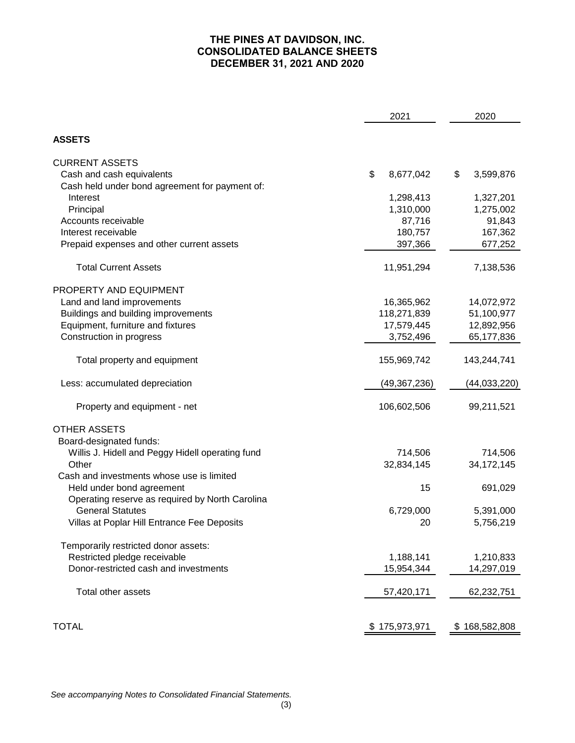# **THE PINES AT DAVIDSON, INC. CONSOLIDATED BALANCE SHEETS DECEMBER 31, 2021 AND 2020**

| 2021                                             |                 | 2020            |
|--------------------------------------------------|-----------------|-----------------|
| <b>ASSETS</b>                                    |                 |                 |
| <b>CURRENT ASSETS</b>                            |                 |                 |
| Cash and cash equivalents                        | \$<br>8,677,042 | \$<br>3,599,876 |
| Cash held under bond agreement for payment of:   |                 |                 |
| Interest                                         | 1,298,413       | 1,327,201       |
| Principal                                        | 1,310,000       | 1,275,002       |
| Accounts receivable                              | 87,716          | 91,843          |
| Interest receivable                              | 180,757         | 167,362         |
| Prepaid expenses and other current assets        | 397,366         | 677,252         |
| <b>Total Current Assets</b>                      | 11,951,294      | 7,138,536       |
| PROPERTY AND EQUIPMENT                           |                 |                 |
| Land and land improvements                       | 16,365,962      | 14,072,972      |
| Buildings and building improvements              | 118,271,839     | 51,100,977      |
| Equipment, furniture and fixtures                | 17,579,445      | 12,892,956      |
| Construction in progress                         | 3,752,496       | 65,177,836      |
| Total property and equipment                     | 155,969,742     | 143,244,741     |
| Less: accumulated depreciation                   | (49, 367, 236)  | (44, 033, 220)  |
| Property and equipment - net                     | 106,602,506     | 99,211,521      |
| <b>OTHER ASSETS</b>                              |                 |                 |
| Board-designated funds:                          |                 |                 |
| Willis J. Hidell and Peggy Hidell operating fund | 714,506         | 714,506         |
| Other                                            | 32,834,145      | 34, 172, 145    |
| Cash and investments whose use is limited        |                 |                 |
| Held under bond agreement                        | 15              | 691,029         |
| Operating reserve as required by North Carolina  |                 |                 |
| <b>General Statutes</b>                          | 6,729,000       | 5,391,000       |
| Villas at Poplar Hill Entrance Fee Deposits      | 20              | 5,756,219       |
| Temporarily restricted donor assets:             |                 |                 |
| Restricted pledge receivable                     | 1,188,141       | 1,210,833       |
| Donor-restricted cash and investments            | 15,954,344      | 14,297,019      |
| Total other assets                               | 57,420,171      | 62,232,751      |
|                                                  |                 |                 |
| <b>TOTAL</b>                                     | 175,973,971     | \$168,582,808   |
|                                                  |                 |                 |

*See accompanying Notes to Consolidated Financial Statements.*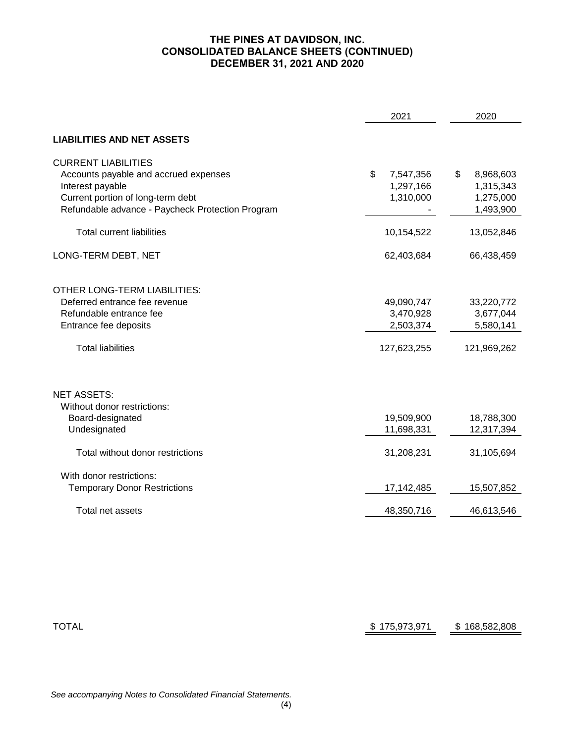# **THE PINES AT DAVIDSON, INC. CONSOLIDATED BALANCE SHEETS (CONTINUED) DECEMBER 31, 2021 AND 2020**

|                                                                                                                                                                                  | 2021                                                | 2020                                                   |
|----------------------------------------------------------------------------------------------------------------------------------------------------------------------------------|-----------------------------------------------------|--------------------------------------------------------|
| <b>LIABILITIES AND NET ASSETS</b>                                                                                                                                                |                                                     |                                                        |
| <b>CURRENT LIABILITIES</b><br>Accounts payable and accrued expenses<br>Interest payable<br>Current portion of long-term debt<br>Refundable advance - Paycheck Protection Program | \$<br>7,547,356<br>1,297,166<br>1,310,000           | \$<br>8,968,603<br>1,315,343<br>1,275,000<br>1,493,900 |
| <b>Total current liabilities</b>                                                                                                                                                 | 10,154,522                                          | 13,052,846                                             |
| LONG-TERM DEBT, NET                                                                                                                                                              | 62,403,684                                          | 66,438,459                                             |
| OTHER LONG-TERM LIABILITIES:<br>Deferred entrance fee revenue<br>Refundable entrance fee<br>Entrance fee deposits<br><b>Total liabilities</b>                                    | 49,090,747<br>3,470,928<br>2,503,374<br>127,623,255 | 33,220,772<br>3,677,044<br>5,580,141<br>121,969,262    |
| <b>NET ASSETS:</b><br>Without donor restrictions:<br>Board-designated<br>Undesignated                                                                                            | 19,509,900<br>11,698,331                            | 18,788,300<br>12,317,394                               |
| Total without donor restrictions                                                                                                                                                 | 31,208,231                                          | 31,105,694                                             |
| With donor restrictions:<br><b>Temporary Donor Restrictions</b>                                                                                                                  | 17,142,485                                          | 15,507,852                                             |
| Total net assets                                                                                                                                                                 | 48,350,716                                          | 46,613,546                                             |

| TOTAL | \$175,973,971 | \$168,582,808 |
|-------|---------------|---------------|
|       |               |               |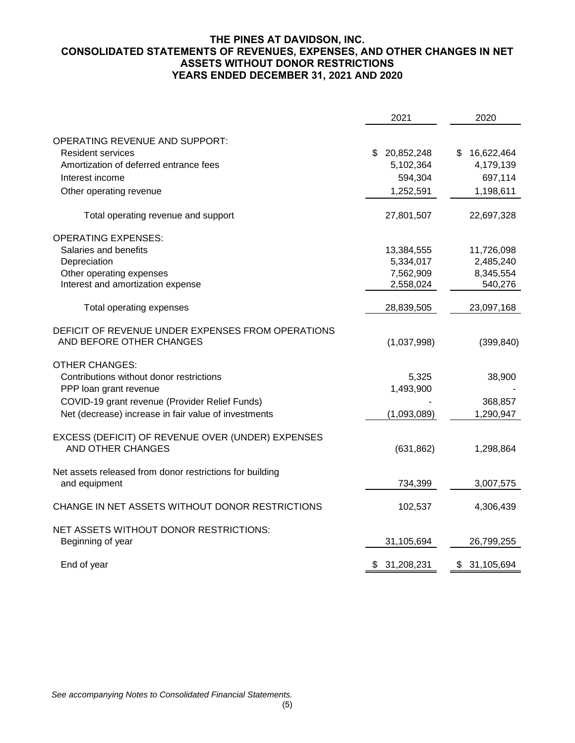# **THE PINES AT DAVIDSON, INC. CONSOLIDATED STATEMENTS OF REVENUES, EXPENSES, AND OTHER CHANGES IN NET ASSETS WITHOUT DONOR RESTRICTIONS YEARS ENDED DECEMBER 31, 2021 AND 2020**

|                                                                               | 2021         | 2020             |
|-------------------------------------------------------------------------------|--------------|------------------|
| OPERATING REVENUE AND SUPPORT:                                                |              |                  |
| <b>Resident services</b>                                                      | \$20,852,248 | \$<br>16,622,464 |
| Amortization of deferred entrance fees                                        | 5,102,364    | 4,179,139        |
| Interest income                                                               | 594,304      | 697,114          |
|                                                                               |              |                  |
| Other operating revenue                                                       | 1,252,591    | 1,198,611        |
| Total operating revenue and support                                           | 27,801,507   | 22,697,328       |
| <b>OPERATING EXPENSES:</b>                                                    |              |                  |
| Salaries and benefits                                                         | 13,384,555   | 11,726,098       |
| Depreciation                                                                  | 5,334,017    | 2,485,240        |
| Other operating expenses                                                      | 7,562,909    | 8,345,554        |
| Interest and amortization expense                                             | 2,558,024    | 540,276          |
| Total operating expenses                                                      | 28,839,505   | 23,097,168       |
| DEFICIT OF REVENUE UNDER EXPENSES FROM OPERATIONS                             |              |                  |
| AND BEFORE OTHER CHANGES                                                      | (1,037,998)  | (399, 840)       |
| <b>OTHER CHANGES:</b>                                                         |              |                  |
| Contributions without donor restrictions                                      | 5,325        | 38,900           |
| PPP loan grant revenue                                                        | 1,493,900    |                  |
| COVID-19 grant revenue (Provider Relief Funds)                                |              | 368,857          |
| Net (decrease) increase in fair value of investments                          | (1,093,089)  | 1,290,947        |
|                                                                               |              |                  |
| EXCESS (DEFICIT) OF REVENUE OVER (UNDER) EXPENSES<br><b>AND OTHER CHANGES</b> | (631, 862)   | 1,298,864        |
|                                                                               |              |                  |
| Net assets released from donor restrictions for building                      |              |                  |
| and equipment                                                                 | 734,399      | 3,007,575        |
| CHANGE IN NET ASSETS WITHOUT DONOR RESTRICTIONS                               | 102,537      | 4,306,439        |
| NET ASSETS WITHOUT DONOR RESTRICTIONS:                                        |              |                  |
| Beginning of year                                                             | 31,105,694   | 26,799,255       |
| End of year                                                                   | \$31,208,231 | 31,105,694<br>\$ |
|                                                                               |              |                  |

*See accompanying Notes to Consolidated Financial Statements.*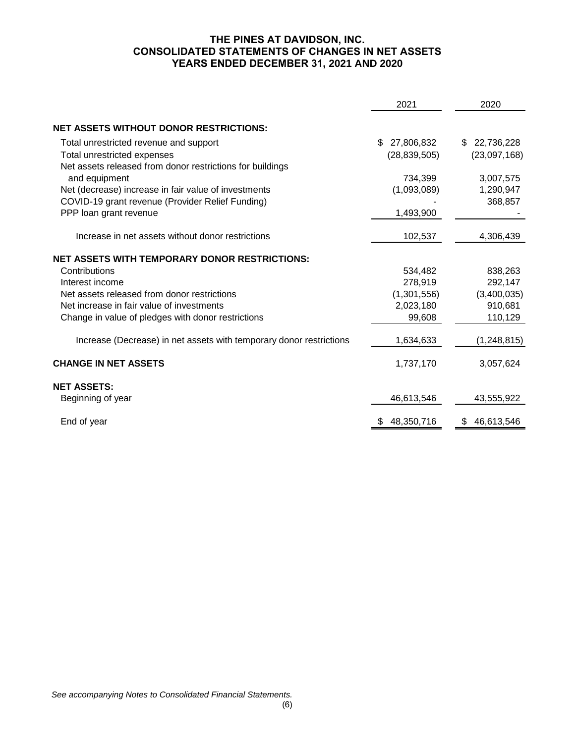# **THE PINES AT DAVIDSON, INC. CONSOLIDATED STATEMENTS OF CHANGES IN NET ASSETS YEARS ENDED DECEMBER 31, 2021 AND 2020**

|                                                                     | 2021             | 2020             |
|---------------------------------------------------------------------|------------------|------------------|
| <b>NET ASSETS WITHOUT DONOR RESTRICTIONS:</b>                       |                  |                  |
|                                                                     |                  |                  |
| Total unrestricted revenue and support                              | 27,806,832<br>\$ | 22,736,228<br>\$ |
| Total unrestricted expenses                                         | (28, 839, 505)   | (23,097,168)     |
| Net assets released from donor restrictions for buildings           |                  |                  |
| and equipment                                                       | 734,399          | 3,007,575        |
| Net (decrease) increase in fair value of investments                | (1,093,089)      | 1,290,947        |
| COVID-19 grant revenue (Provider Relief Funding)                    |                  | 368,857          |
| PPP loan grant revenue                                              | 1,493,900        |                  |
| Increase in net assets without donor restrictions                   | 102,537          | 4,306,439        |
| <b>NET ASSETS WITH TEMPORARY DONOR RESTRICTIONS:</b>                |                  |                  |
| Contributions                                                       | 534,482          | 838,263          |
| Interest income                                                     | 278,919          | 292,147          |
| Net assets released from donor restrictions                         | (1,301,556)      | (3,400,035)      |
| Net increase in fair value of investments                           | 2,023,180        | 910,681          |
| Change in value of pledges with donor restrictions                  | 99,608           | 110,129          |
| Increase (Decrease) in net assets with temporary donor restrictions | 1,634,633        | (1, 248, 815)    |
| <b>CHANGE IN NET ASSETS</b>                                         | 1,737,170        | 3,057,624        |
| <b>NET ASSETS:</b>                                                  |                  |                  |
| Beginning of year                                                   | 46,613,546       | 43,555,922       |
| End of year                                                         | 48,350,716       | 46,613,546<br>\$ |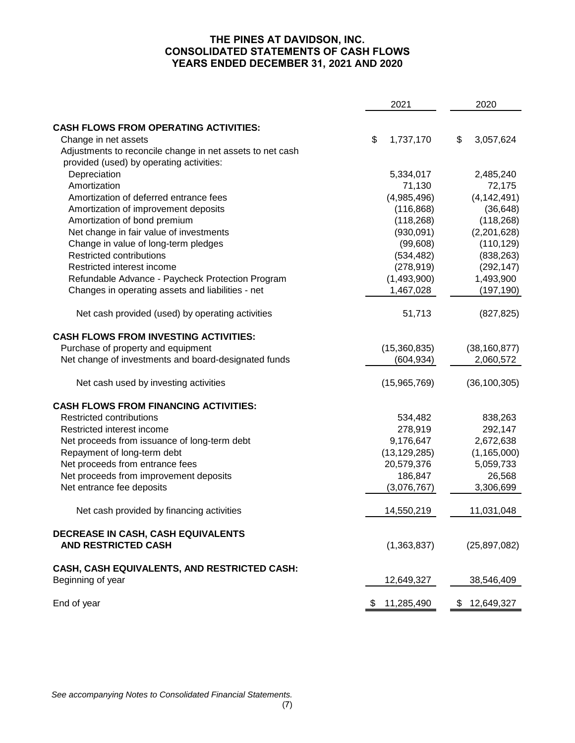# **THE PINES AT DAVIDSON, INC. CONSOLIDATED STATEMENTS OF CASH FLOWS YEARS ENDED DECEMBER 31, 2021 AND 2020**

|                                                                   | 2021             | 2020 |                |  |
|-------------------------------------------------------------------|------------------|------|----------------|--|
| <b>CASH FLOWS FROM OPERATING ACTIVITIES:</b>                      |                  |      |                |  |
| Change in net assets                                              | \$<br>1,737,170  | \$   | 3,057,624      |  |
| Adjustments to reconcile change in net assets to net cash         |                  |      |                |  |
| provided (used) by operating activities:                          |                  |      |                |  |
| Depreciation                                                      | 5,334,017        |      | 2,485,240      |  |
| Amortization                                                      | 71,130           |      | 72,175         |  |
| Amortization of deferred entrance fees                            | (4,985,496)      |      | (4, 142, 491)  |  |
| Amortization of improvement deposits                              | (116, 868)       |      | (36, 648)      |  |
| Amortization of bond premium                                      | (118, 268)       |      | (118, 268)     |  |
| Net change in fair value of investments                           | (930,091)        |      | (2,201,628)    |  |
| Change in value of long-term pledges                              | (99, 608)        |      | (110, 129)     |  |
| Restricted contributions                                          | (534, 482)       |      | (838, 263)     |  |
| Restricted interest income                                        | (278, 919)       |      | (292, 147)     |  |
| Refundable Advance - Paycheck Protection Program                  | (1,493,900)      |      | 1,493,900      |  |
| Changes in operating assets and liabilities - net                 | 1,467,028        |      | (197, 190)     |  |
|                                                                   |                  |      |                |  |
| Net cash provided (used) by operating activities                  | 51,713           |      | (827, 825)     |  |
| <b>CASH FLOWS FROM INVESTING ACTIVITIES:</b>                      |                  |      |                |  |
| Purchase of property and equipment                                | (15,360,835)     |      | (38, 160, 877) |  |
| Net change of investments and board-designated funds              | (604, 934)       |      | 2,060,572      |  |
| Net cash used by investing activities                             | (15,965,769)     |      | (36, 100, 305) |  |
| <b>CASH FLOWS FROM FINANCING ACTIVITIES:</b>                      |                  |      |                |  |
| Restricted contributions                                          | 534,482          |      | 838,263        |  |
| Restricted interest income                                        | 278,919          |      | 292,147        |  |
| Net proceeds from issuance of long-term debt                      | 9,176,647        |      | 2,672,638      |  |
| Repayment of long-term debt                                       | (13, 129, 285)   |      | (1, 165, 000)  |  |
| Net proceeds from entrance fees                                   | 20,579,376       |      | 5,059,733      |  |
| Net proceeds from improvement deposits                            | 186,847          |      | 26,568         |  |
| Net entrance fee deposits                                         | (3,076,767)      |      | 3,306,699      |  |
| Net cash provided by financing activities                         | 14,550,219       |      | 11,031,048     |  |
| DECREASE IN CASH, CASH EQUIVALENTS<br><b>AND RESTRICTED CASH</b>  | (1,363,837)      |      | (25, 897, 082) |  |
| CASH, CASH EQUIVALENTS, AND RESTRICTED CASH:<br>Beginning of year | 12,649,327       |      | 38,546,409     |  |
| End of year                                                       | \$<br>11,285,490 | \$   | 12,649,327     |  |

*See accompanying Notes to Consolidated Financial Statements.*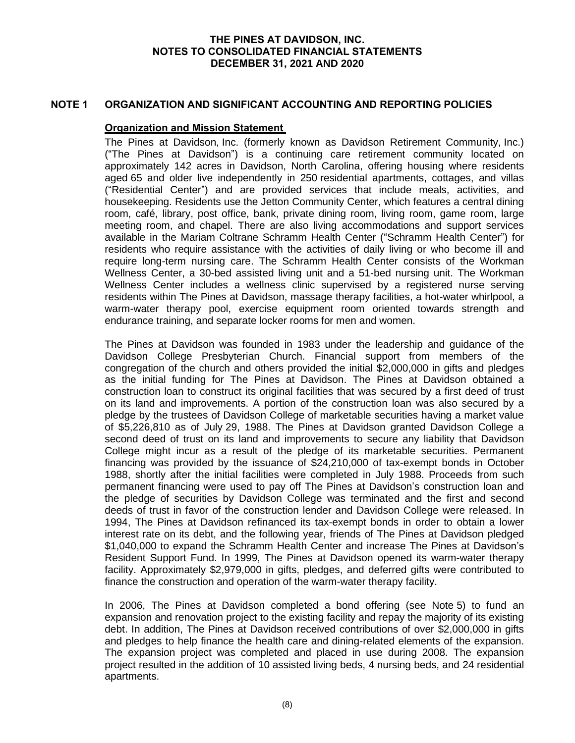## **NOTE 1 ORGANIZATION AND SIGNIFICANT ACCOUNTING AND REPORTING POLICIES**

#### **Organization and Mission Statement**

The Pines at Davidson, Inc. (formerly known as Davidson Retirement Community, Inc.) ("The Pines at Davidson") is a continuing care retirement community located on approximately 142 acres in Davidson, North Carolina, offering housing where residents aged 65 and older live independently in 250 residential apartments, cottages, and villas ("Residential Center") and are provided services that include meals, activities, and housekeeping. Residents use the Jetton Community Center, which features a central dining room, café, library, post office, bank, private dining room, living room, game room, large meeting room, and chapel. There are also living accommodations and support services available in the Mariam Coltrane Schramm Health Center ("Schramm Health Center") for residents who require assistance with the activities of daily living or who become ill and require long-term nursing care. The Schramm Health Center consists of the Workman Wellness Center, a 30-bed assisted living unit and a 51-bed nursing unit. The Workman Wellness Center includes a wellness clinic supervised by a registered nurse serving residents within The Pines at Davidson, massage therapy facilities, a hot-water whirlpool, a warm-water therapy pool, exercise equipment room oriented towards strength and endurance training, and separate locker rooms for men and women.

The Pines at Davidson was founded in 1983 under the leadership and guidance of the Davidson College Presbyterian Church. Financial support from members of the congregation of the church and others provided the initial \$2,000,000 in gifts and pledges as the initial funding for The Pines at Davidson. The Pines at Davidson obtained a construction loan to construct its original facilities that was secured by a first deed of trust on its land and improvements. A portion of the construction loan was also secured by a pledge by the trustees of Davidson College of marketable securities having a market value of \$5,226,810 as of July 29, 1988. The Pines at Davidson granted Davidson College a second deed of trust on its land and improvements to secure any liability that Davidson College might incur as a result of the pledge of its marketable securities. Permanent financing was provided by the issuance of \$24,210,000 of tax-exempt bonds in October 1988, shortly after the initial facilities were completed in July 1988. Proceeds from such permanent financing were used to pay off The Pines at Davidson's construction loan and the pledge of securities by Davidson College was terminated and the first and second deeds of trust in favor of the construction lender and Davidson College were released. In 1994, The Pines at Davidson refinanced its tax-exempt bonds in order to obtain a lower interest rate on its debt, and the following year, friends of The Pines at Davidson pledged \$1,040,000 to expand the Schramm Health Center and increase The Pines at Davidson's Resident Support Fund. In 1999, The Pines at Davidson opened its warm-water therapy facility. Approximately \$2,979,000 in gifts, pledges, and deferred gifts were contributed to finance the construction and operation of the warm-water therapy facility.

In 2006, The Pines at Davidson completed a bond offering (see Note 5) to fund an expansion and renovation project to the existing facility and repay the majority of its existing debt. In addition, The Pines at Davidson received contributions of over \$2,000,000 in gifts and pledges to help finance the health care and dining-related elements of the expansion. The expansion project was completed and placed in use during 2008. The expansion project resulted in the addition of 10 assisted living beds, 4 nursing beds, and 24 residential apartments.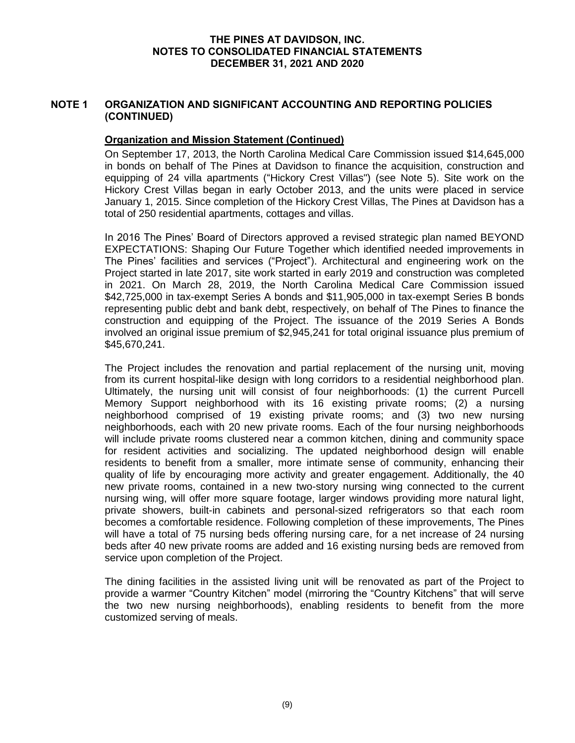# **NOTE 1 ORGANIZATION AND SIGNIFICANT ACCOUNTING AND REPORTING POLICIES (CONTINUED)**

# **Organization and Mission Statement (Continued)**

On September 17, 2013, the North Carolina Medical Care Commission issued \$14,645,000 in bonds on behalf of The Pines at Davidson to finance the acquisition, construction and equipping of 24 villa apartments ("Hickory Crest Villas") (see Note 5). Site work on the Hickory Crest Villas began in early October 2013, and the units were placed in service January 1, 2015. Since completion of the Hickory Crest Villas, The Pines at Davidson has a total of 250 residential apartments, cottages and villas.

In 2016 The Pines' Board of Directors approved a revised strategic plan named BEYOND EXPECTATIONS: Shaping Our Future Together which identified needed improvements in The Pines' facilities and services ("Project"). Architectural and engineering work on the Project started in late 2017, site work started in early 2019 and construction was completed in 2021. On March 28, 2019, the North Carolina Medical Care Commission issued \$42,725,000 in tax-exempt Series A bonds and \$11,905,000 in tax-exempt Series B bonds representing public debt and bank debt, respectively, on behalf of The Pines to finance the construction and equipping of the Project. The issuance of the 2019 Series A Bonds involved an original issue premium of \$2,945,241 for total original issuance plus premium of \$45,670,241.

The Project includes the renovation and partial replacement of the nursing unit, moving from its current hospital-like design with long corridors to a residential neighborhood plan. Ultimately, the nursing unit will consist of four neighborhoods: (1) the current Purcell Memory Support neighborhood with its 16 existing private rooms; (2) a nursing neighborhood comprised of 19 existing private rooms; and (3) two new nursing neighborhoods, each with 20 new private rooms. Each of the four nursing neighborhoods will include private rooms clustered near a common kitchen, dining and community space for resident activities and socializing. The updated neighborhood design will enable residents to benefit from a smaller, more intimate sense of community, enhancing their quality of life by encouraging more activity and greater engagement. Additionally, the 40 new private rooms, contained in a new two-story nursing wing connected to the current nursing wing, will offer more square footage, larger windows providing more natural light, private showers, built-in cabinets and personal-sized refrigerators so that each room becomes a comfortable residence. Following completion of these improvements, The Pines will have a total of 75 nursing beds offering nursing care, for a net increase of 24 nursing beds after 40 new private rooms are added and 16 existing nursing beds are removed from service upon completion of the Project.

The dining facilities in the assisted living unit will be renovated as part of the Project to provide a warmer "Country Kitchen" model (mirroring the "Country Kitchens" that will serve the two new nursing neighborhoods), enabling residents to benefit from the more customized serving of meals.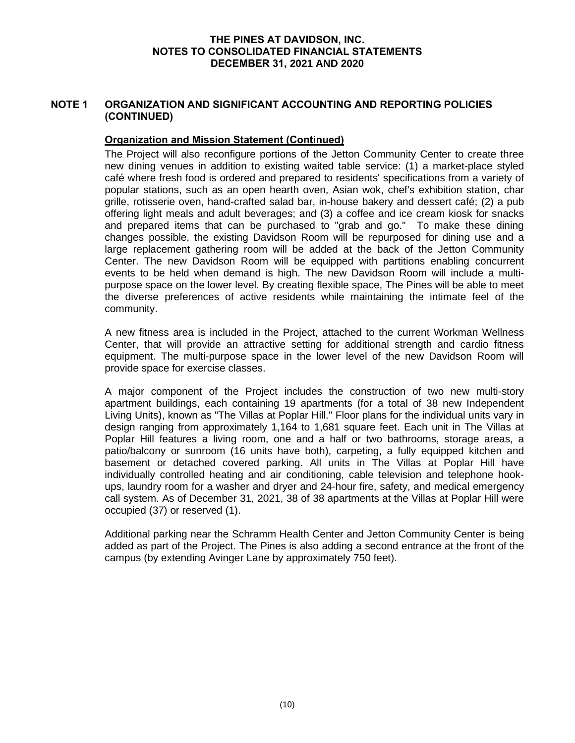# **NOTE 1 ORGANIZATION AND SIGNIFICANT ACCOUNTING AND REPORTING POLICIES (CONTINUED)**

# **Organization and Mission Statement (Continued)**

The Project will also reconfigure portions of the Jetton Community Center to create three new dining venues in addition to existing waited table service: (1) a market-place styled café where fresh food is ordered and prepared to residents' specifications from a variety of popular stations, such as an open hearth oven, Asian wok, chef's exhibition station, char grille, rotisserie oven, hand-crafted salad bar, in-house bakery and dessert café; (2) a pub offering light meals and adult beverages; and (3) a coffee and ice cream kiosk for snacks and prepared items that can be purchased to "grab and go." To make these dining changes possible, the existing Davidson Room will be repurposed for dining use and a large replacement gathering room will be added at the back of the Jetton Community Center. The new Davidson Room will be equipped with partitions enabling concurrent events to be held when demand is high. The new Davidson Room will include a multipurpose space on the lower level. By creating flexible space, The Pines will be able to meet the diverse preferences of active residents while maintaining the intimate feel of the community.

A new fitness area is included in the Project, attached to the current Workman Wellness Center, that will provide an attractive setting for additional strength and cardio fitness equipment. The multi-purpose space in the lower level of the new Davidson Room will provide space for exercise classes.

A major component of the Project includes the construction of two new multi-story apartment buildings, each containing 19 apartments (for a total of 38 new Independent Living Units), known as "The Villas at Poplar Hill." Floor plans for the individual units vary in design ranging from approximately 1,164 to 1,681 square feet. Each unit in The Villas at Poplar Hill features a living room, one and a half or two bathrooms, storage areas, a patio/balcony or sunroom (16 units have both), carpeting, a fully equipped kitchen and basement or detached covered parking. All units in The Villas at Poplar Hill have individually controlled heating and air conditioning, cable television and telephone hookups, laundry room for a washer and dryer and 24-hour fire, safety, and medical emergency call system. As of December 31, 2021, 38 of 38 apartments at the Villas at Poplar Hill were occupied (37) or reserved (1).

Additional parking near the Schramm Health Center and Jetton Community Center is being added as part of the Project. The Pines is also adding a second entrance at the front of the campus (by extending Avinger Lane by approximately 750 feet).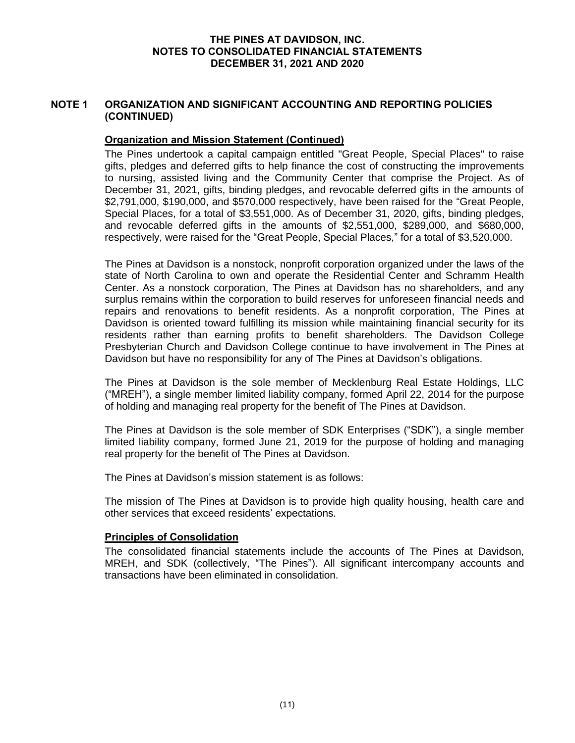# **NOTE 1 ORGANIZATION AND SIGNIFICANT ACCOUNTING AND REPORTING POLICIES (CONTINUED)**

# **Organization and Mission Statement (Continued)**

The Pines undertook a capital campaign entitled "Great People, Special Places" to raise gifts, pledges and deferred gifts to help finance the cost of constructing the improvements to nursing, assisted living and the Community Center that comprise the Project. As of December 31, 2021, gifts, binding pledges, and revocable deferred gifts in the amounts of \$2,791,000, \$190,000, and \$570,000 respectively, have been raised for the "Great People, Special Places, for a total of \$3,551,000. As of December 31, 2020, gifts, binding pledges, and revocable deferred gifts in the amounts of \$2,551,000, \$289,000, and \$680,000, respectively, were raised for the "Great People, Special Places," for a total of \$3,520,000.

The Pines at Davidson is a nonstock, nonprofit corporation organized under the laws of the state of North Carolina to own and operate the Residential Center and Schramm Health Center. As a nonstock corporation, The Pines at Davidson has no shareholders, and any surplus remains within the corporation to build reserves for unforeseen financial needs and repairs and renovations to benefit residents. As a nonprofit corporation, The Pines at Davidson is oriented toward fulfilling its mission while maintaining financial security for its residents rather than earning profits to benefit shareholders. The Davidson College Presbyterian Church and Davidson College continue to have involvement in The Pines at Davidson but have no responsibility for any of The Pines at Davidson's obligations.

The Pines at Davidson is the sole member of Mecklenburg Real Estate Holdings, LLC ("MREH"), a single member limited liability company, formed April 22, 2014 for the purpose of holding and managing real property for the benefit of The Pines at Davidson.

The Pines at Davidson is the sole member of SDK Enterprises ("SDK"), a single member limited liability company, formed June 21, 2019 for the purpose of holding and managing real property for the benefit of The Pines at Davidson.

The Pines at Davidson's mission statement is as follows:

The mission of The Pines at Davidson is to provide high quality housing, health care and other services that exceed residents' expectations.

#### **Principles of Consolidation**

The consolidated financial statements include the accounts of The Pines at Davidson, MREH, and SDK (collectively, "The Pines"). All significant intercompany accounts and transactions have been eliminated in consolidation.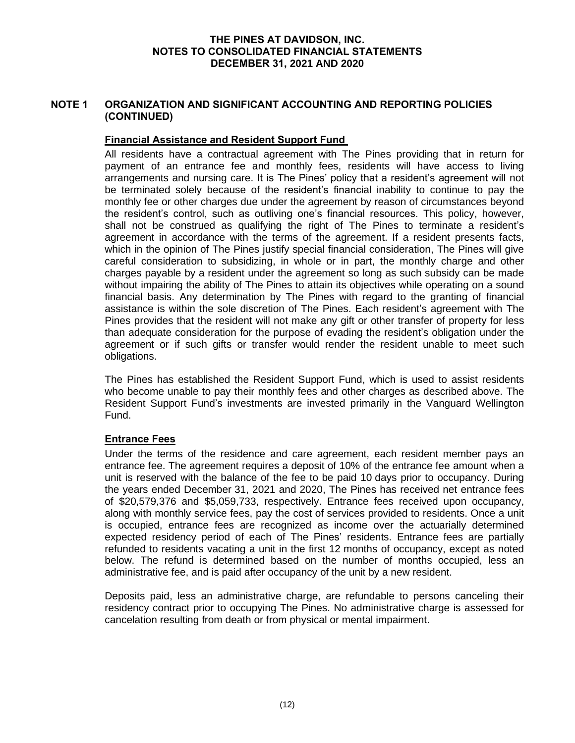# **NOTE 1 ORGANIZATION AND SIGNIFICANT ACCOUNTING AND REPORTING POLICIES (CONTINUED)**

# **Financial Assistance and Resident Support Fund**

All residents have a contractual agreement with The Pines providing that in return for payment of an entrance fee and monthly fees, residents will have access to living arrangements and nursing care. It is The Pines' policy that a resident's agreement will not be terminated solely because of the resident's financial inability to continue to pay the monthly fee or other charges due under the agreement by reason of circumstances beyond the resident's control, such as outliving one's financial resources. This policy, however, shall not be construed as qualifying the right of The Pines to terminate a resident's agreement in accordance with the terms of the agreement. If a resident presents facts, which in the opinion of The Pines justify special financial consideration, The Pines will give careful consideration to subsidizing, in whole or in part, the monthly charge and other charges payable by a resident under the agreement so long as such subsidy can be made without impairing the ability of The Pines to attain its objectives while operating on a sound financial basis. Any determination by The Pines with regard to the granting of financial assistance is within the sole discretion of The Pines. Each resident's agreement with The Pines provides that the resident will not make any gift or other transfer of property for less than adequate consideration for the purpose of evading the resident's obligation under the agreement or if such gifts or transfer would render the resident unable to meet such obligations.

The Pines has established the Resident Support Fund, which is used to assist residents who become unable to pay their monthly fees and other charges as described above. The Resident Support Fund's investments are invested primarily in the Vanguard Wellington Fund.

# **Entrance Fees**

Under the terms of the residence and care agreement, each resident member pays an entrance fee. The agreement requires a deposit of 10% of the entrance fee amount when a unit is reserved with the balance of the fee to be paid 10 days prior to occupancy. During the years ended December 31, 2021 and 2020, The Pines has received net entrance fees of \$20,579,376 and \$5,059,733, respectively. Entrance fees received upon occupancy, along with monthly service fees, pay the cost of services provided to residents. Once a unit is occupied, entrance fees are recognized as income over the actuarially determined expected residency period of each of The Pines' residents. Entrance fees are partially refunded to residents vacating a unit in the first 12 months of occupancy, except as noted below. The refund is determined based on the number of months occupied, less an administrative fee, and is paid after occupancy of the unit by a new resident.

Deposits paid, less an administrative charge, are refundable to persons canceling their residency contract prior to occupying The Pines. No administrative charge is assessed for cancelation resulting from death or from physical or mental impairment.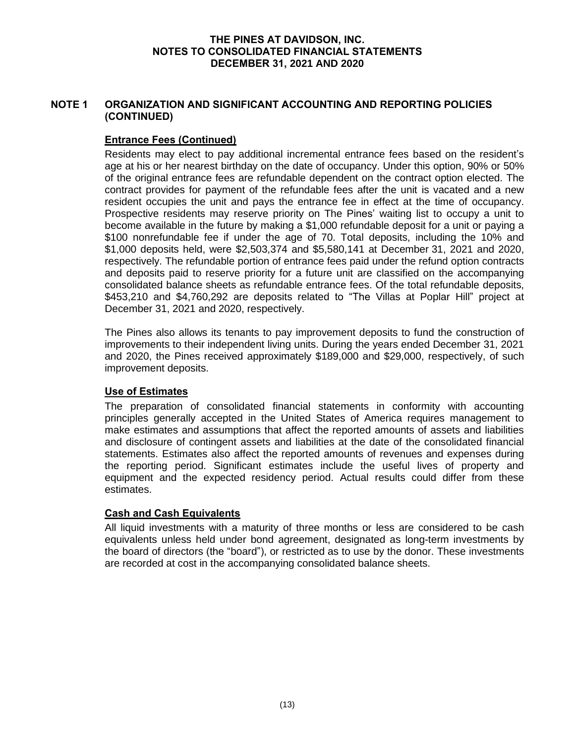# **NOTE 1 ORGANIZATION AND SIGNIFICANT ACCOUNTING AND REPORTING POLICIES (CONTINUED)**

# **Entrance Fees (Continued)**

Residents may elect to pay additional incremental entrance fees based on the resident's age at his or her nearest birthday on the date of occupancy. Under this option, 90% or 50% of the original entrance fees are refundable dependent on the contract option elected. The contract provides for payment of the refundable fees after the unit is vacated and a new resident occupies the unit and pays the entrance fee in effect at the time of occupancy. Prospective residents may reserve priority on The Pines' waiting list to occupy a unit to become available in the future by making a \$1,000 refundable deposit for a unit or paying a \$100 nonrefundable fee if under the age of 70. Total deposits, including the 10% and \$1,000 deposits held, were \$2,503,374 and \$5,580,141 at December 31, 2021 and 2020, respectively. The refundable portion of entrance fees paid under the refund option contracts and deposits paid to reserve priority for a future unit are classified on the accompanying consolidated balance sheets as refundable entrance fees. Of the total refundable deposits, \$453,210 and \$4,760,292 are deposits related to "The Villas at Poplar Hill" project at December 31, 2021 and 2020, respectively.

The Pines also allows its tenants to pay improvement deposits to fund the construction of improvements to their independent living units. During the years ended December 31, 2021 and 2020, the Pines received approximately \$189,000 and \$29,000, respectively, of such improvement deposits.

# **Use of Estimates**

The preparation of consolidated financial statements in conformity with accounting principles generally accepted in the United States of America requires management to make estimates and assumptions that affect the reported amounts of assets and liabilities and disclosure of contingent assets and liabilities at the date of the consolidated financial statements. Estimates also affect the reported amounts of revenues and expenses during the reporting period. Significant estimates include the useful lives of property and equipment and the expected residency period. Actual results could differ from these estimates.

# **Cash and Cash Equivalents**

All liquid investments with a maturity of three months or less are considered to be cash equivalents unless held under bond agreement, designated as long-term investments by the board of directors (the "board"), or restricted as to use by the donor. These investments are recorded at cost in the accompanying consolidated balance sheets.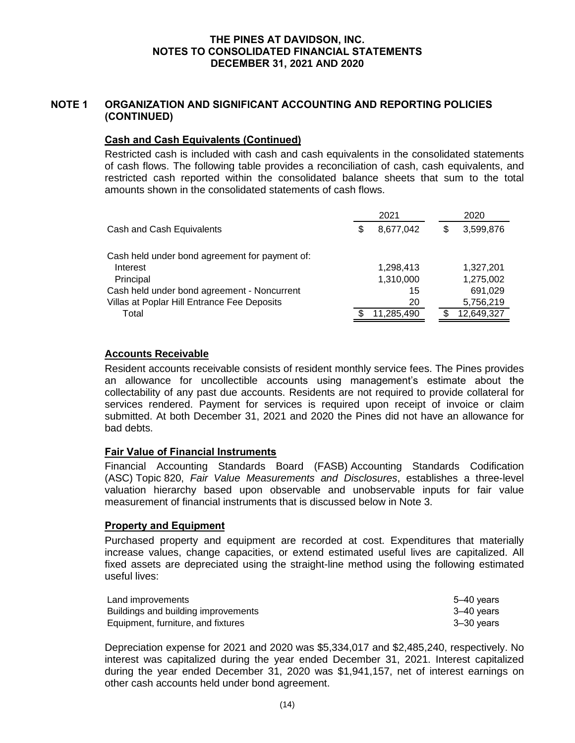# **NOTE 1 ORGANIZATION AND SIGNIFICANT ACCOUNTING AND REPORTING POLICIES (CONTINUED)**

# **Cash and Cash Equivalents (Continued)**

Restricted cash is included with cash and cash equivalents in the consolidated statements of cash flows. The following table provides a reconciliation of cash, cash equivalents, and restricted cash reported within the consolidated balance sheets that sum to the total amounts shown in the consolidated statements of cash flows.

|                                                |   | 2021       | 2020            |
|------------------------------------------------|---|------------|-----------------|
| Cash and Cash Equivalents                      | S | 8,677,042  | \$<br>3,599,876 |
| Cash held under bond agreement for payment of: |   |            |                 |
| Interest                                       |   | 1,298,413  | 1,327,201       |
| Principal                                      |   | 1,310,000  | 1,275,002       |
| Cash held under bond agreement - Noncurrent    |   | 15         | 691,029         |
| Villas at Poplar Hill Entrance Fee Deposits    |   | 20         | 5,756,219       |
| Total                                          |   | 11,285,490 | 12,649,327      |

# **Accounts Receivable**

Resident accounts receivable consists of resident monthly service fees. The Pines provides an allowance for uncollectible accounts using management's estimate about the collectability of any past due accounts. Residents are not required to provide collateral for services rendered. Payment for services is required upon receipt of invoice or claim submitted. At both December 31, 2021 and 2020 the Pines did not have an allowance for bad debts.

## **Fair Value of Financial Instruments**

Financial Accounting Standards Board (FASB) Accounting Standards Codification (ASC) Topic 820, *Fair Value Measurements and Disclosures*, establishes a three-level valuation hierarchy based upon observable and unobservable inputs for fair value measurement of financial instruments that is discussed below in Note 3.

#### **Property and Equipment**

Purchased property and equipment are recorded at cost. Expenditures that materially increase values, change capacities, or extend estimated useful lives are capitalized. All fixed assets are depreciated using the straight-line method using the following estimated useful lives:

| Land improvements                   | 5–40 vears |
|-------------------------------------|------------|
| Buildings and building improvements | 3–40 vears |
| Equipment, furniture, and fixtures  | 3–30 vears |

Depreciation expense for 2021 and 2020 was \$5,334,017 and \$2,485,240, respectively. No interest was capitalized during the year ended December 31, 2021. Interest capitalized during the year ended December 31, 2020 was \$1,941,157, net of interest earnings on other cash accounts held under bond agreement.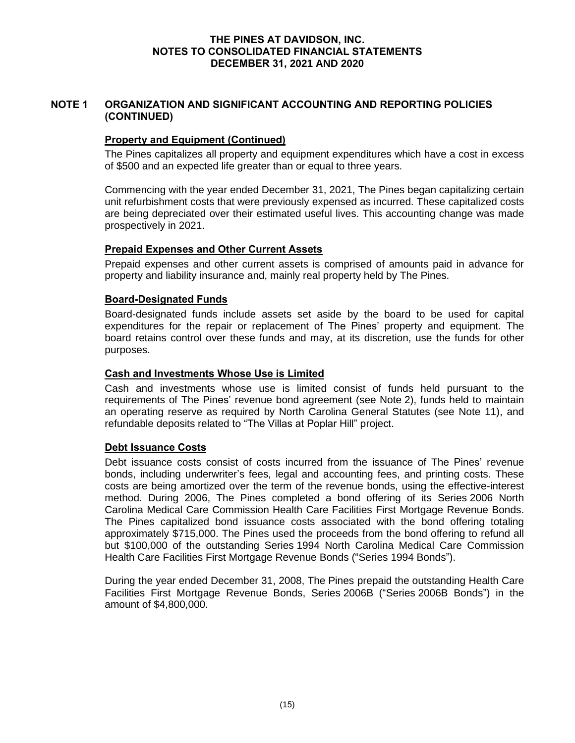# **NOTE 1 ORGANIZATION AND SIGNIFICANT ACCOUNTING AND REPORTING POLICIES (CONTINUED)**

# **Property and Equipment (Continued)**

The Pines capitalizes all property and equipment expenditures which have a cost in excess of \$500 and an expected life greater than or equal to three years.

Commencing with the year ended December 31, 2021, The Pines began capitalizing certain unit refurbishment costs that were previously expensed as incurred. These capitalized costs are being depreciated over their estimated useful lives. This accounting change was made prospectively in 2021.

# **Prepaid Expenses and Other Current Assets**

Prepaid expenses and other current assets is comprised of amounts paid in advance for property and liability insurance and, mainly real property held by The Pines.

# **Board-Designated Funds**

Board-designated funds include assets set aside by the board to be used for capital expenditures for the repair or replacement of The Pines' property and equipment. The board retains control over these funds and may, at its discretion, use the funds for other purposes.

# **Cash and Investments Whose Use is Limited**

Cash and investments whose use is limited consist of funds held pursuant to the requirements of The Pines' revenue bond agreement (see Note 2), funds held to maintain an operating reserve as required by North Carolina General Statutes (see Note 11), and refundable deposits related to "The Villas at Poplar Hill" project.

#### **Debt Issuance Costs**

Debt issuance costs consist of costs incurred from the issuance of The Pines' revenue bonds, including underwriter's fees, legal and accounting fees, and printing costs. These costs are being amortized over the term of the revenue bonds, using the effective-interest method. During 2006, The Pines completed a bond offering of its Series 2006 North Carolina Medical Care Commission Health Care Facilities First Mortgage Revenue Bonds. The Pines capitalized bond issuance costs associated with the bond offering totaling approximately \$715,000. The Pines used the proceeds from the bond offering to refund all but \$100,000 of the outstanding Series 1994 North Carolina Medical Care Commission Health Care Facilities First Mortgage Revenue Bonds ("Series 1994 Bonds").

During the year ended December 31, 2008, The Pines prepaid the outstanding Health Care Facilities First Mortgage Revenue Bonds, Series 2006B ("Series 2006B Bonds") in the amount of \$4,800,000.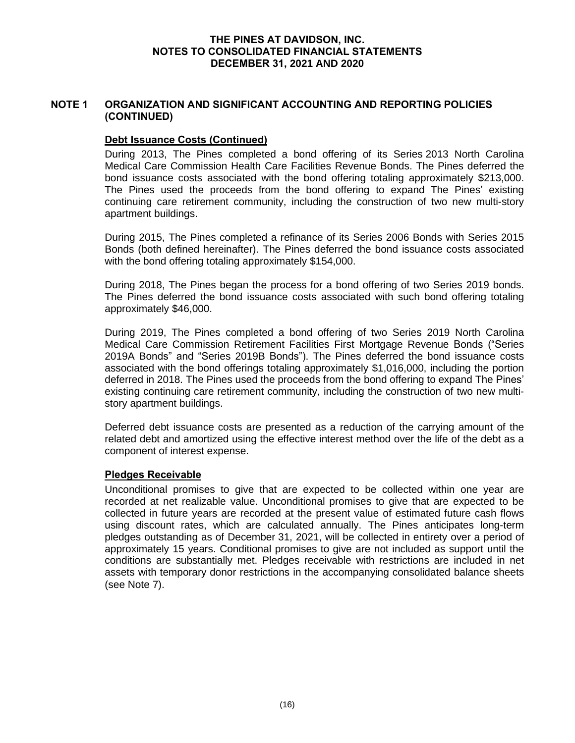# **NOTE 1 ORGANIZATION AND SIGNIFICANT ACCOUNTING AND REPORTING POLICIES (CONTINUED)**

## **Debt Issuance Costs (Continued)**

During 2013, The Pines completed a bond offering of its Series 2013 North Carolina Medical Care Commission Health Care Facilities Revenue Bonds. The Pines deferred the bond issuance costs associated with the bond offering totaling approximately \$213,000. The Pines used the proceeds from the bond offering to expand The Pines' existing continuing care retirement community, including the construction of two new multi-story apartment buildings.

During 2015, The Pines completed a refinance of its Series 2006 Bonds with Series 2015 Bonds (both defined hereinafter). The Pines deferred the bond issuance costs associated with the bond offering totaling approximately \$154,000.

During 2018, The Pines began the process for a bond offering of two Series 2019 bonds. The Pines deferred the bond issuance costs associated with such bond offering totaling approximately \$46,000.

During 2019, The Pines completed a bond offering of two Series 2019 North Carolina Medical Care Commission Retirement Facilities First Mortgage Revenue Bonds ("Series 2019A Bonds" and "Series 2019B Bonds"). The Pines deferred the bond issuance costs associated with the bond offerings totaling approximately \$1,016,000, including the portion deferred in 2018. The Pines used the proceeds from the bond offering to expand The Pines' existing continuing care retirement community, including the construction of two new multistory apartment buildings.

Deferred debt issuance costs are presented as a reduction of the carrying amount of the related debt and amortized using the effective interest method over the life of the debt as a component of interest expense.

# **Pledges Receivable**

Unconditional promises to give that are expected to be collected within one year are recorded at net realizable value. Unconditional promises to give that are expected to be collected in future years are recorded at the present value of estimated future cash flows using discount rates, which are calculated annually. The Pines anticipates long-term pledges outstanding as of December 31, 2021, will be collected in entirety over a period of approximately 15 years. Conditional promises to give are not included as support until the conditions are substantially met. Pledges receivable with restrictions are included in net assets with temporary donor restrictions in the accompanying consolidated balance sheets (see Note 7).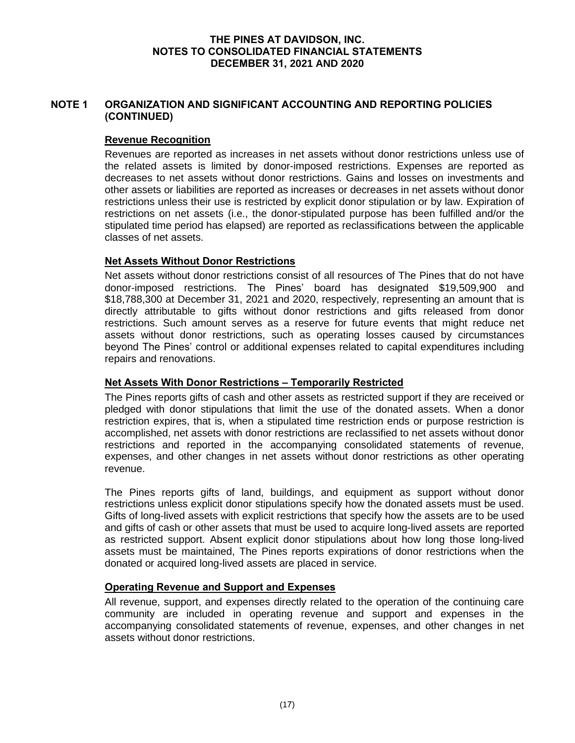# **NOTE 1 ORGANIZATION AND SIGNIFICANT ACCOUNTING AND REPORTING POLICIES (CONTINUED)**

## **Revenue Recognition**

Revenues are reported as increases in net assets without donor restrictions unless use of the related assets is limited by donor-imposed restrictions. Expenses are reported as decreases to net assets without donor restrictions. Gains and losses on investments and other assets or liabilities are reported as increases or decreases in net assets without donor restrictions unless their use is restricted by explicit donor stipulation or by law. Expiration of restrictions on net assets (i.e., the donor-stipulated purpose has been fulfilled and/or the stipulated time period has elapsed) are reported as reclassifications between the applicable classes of net assets.

# **Net Assets Without Donor Restrictions**

Net assets without donor restrictions consist of all resources of The Pines that do not have donor-imposed restrictions. The Pines' board has designated \$19,509,900 and \$18,788,300 at December 31, 2021 and 2020, respectively, representing an amount that is directly attributable to gifts without donor restrictions and gifts released from donor restrictions. Such amount serves as a reserve for future events that might reduce net assets without donor restrictions, such as operating losses caused by circumstances beyond The Pines' control or additional expenses related to capital expenditures including repairs and renovations.

# **Net Assets With Donor Restrictions – Temporarily Restricted**

The Pines reports gifts of cash and other assets as restricted support if they are received or pledged with donor stipulations that limit the use of the donated assets. When a donor restriction expires, that is, when a stipulated time restriction ends or purpose restriction is accomplished, net assets with donor restrictions are reclassified to net assets without donor restrictions and reported in the accompanying consolidated statements of revenue, expenses, and other changes in net assets without donor restrictions as other operating revenue.

The Pines reports gifts of land, buildings, and equipment as support without donor restrictions unless explicit donor stipulations specify how the donated assets must be used. Gifts of long-lived assets with explicit restrictions that specify how the assets are to be used and gifts of cash or other assets that must be used to acquire long-lived assets are reported as restricted support. Absent explicit donor stipulations about how long those long-lived assets must be maintained, The Pines reports expirations of donor restrictions when the donated or acquired long-lived assets are placed in service.

# **Operating Revenue and Support and Expenses**

All revenue, support, and expenses directly related to the operation of the continuing care community are included in operating revenue and support and expenses in the accompanying consolidated statements of revenue, expenses, and other changes in net assets without donor restrictions.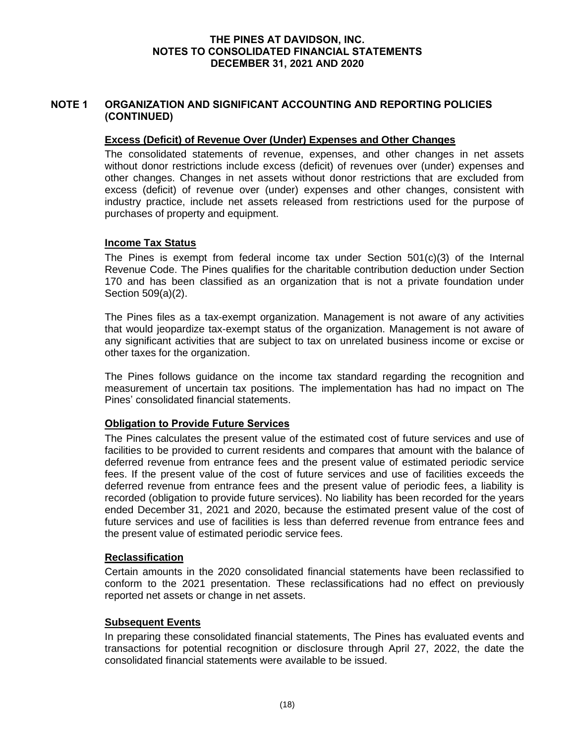# **NOTE 1 ORGANIZATION AND SIGNIFICANT ACCOUNTING AND REPORTING POLICIES (CONTINUED)**

## **Excess (Deficit) of Revenue Over (Under) Expenses and Other Changes**

The consolidated statements of revenue, expenses, and other changes in net assets without donor restrictions include excess (deficit) of revenues over (under) expenses and other changes. Changes in net assets without donor restrictions that are excluded from excess (deficit) of revenue over (under) expenses and other changes, consistent with industry practice, include net assets released from restrictions used for the purpose of purchases of property and equipment.

# **Income Tax Status**

The Pines is exempt from federal income tax under Section 501(c)(3) of the Internal Revenue Code. The Pines qualifies for the charitable contribution deduction under Section 170 and has been classified as an organization that is not a private foundation under Section 509(a)(2).

The Pines files as a tax-exempt organization. Management is not aware of any activities that would jeopardize tax-exempt status of the organization. Management is not aware of any significant activities that are subject to tax on unrelated business income or excise or other taxes for the organization.

The Pines follows guidance on the income tax standard regarding the recognition and measurement of uncertain tax positions. The implementation has had no impact on The Pines' consolidated financial statements.

# **Obligation to Provide Future Services**

The Pines calculates the present value of the estimated cost of future services and use of facilities to be provided to current residents and compares that amount with the balance of deferred revenue from entrance fees and the present value of estimated periodic service fees. If the present value of the cost of future services and use of facilities exceeds the deferred revenue from entrance fees and the present value of periodic fees, a liability is recorded (obligation to provide future services). No liability has been recorded for the years ended December 31, 2021 and 2020, because the estimated present value of the cost of future services and use of facilities is less than deferred revenue from entrance fees and the present value of estimated periodic service fees.

#### **Reclassification**

Certain amounts in the 2020 consolidated financial statements have been reclassified to conform to the 2021 presentation. These reclassifications had no effect on previously reported net assets or change in net assets.

#### **Subsequent Events**

In preparing these consolidated financial statements, The Pines has evaluated events and transactions for potential recognition or disclosure through April 27, 2022, the date the consolidated financial statements were available to be issued.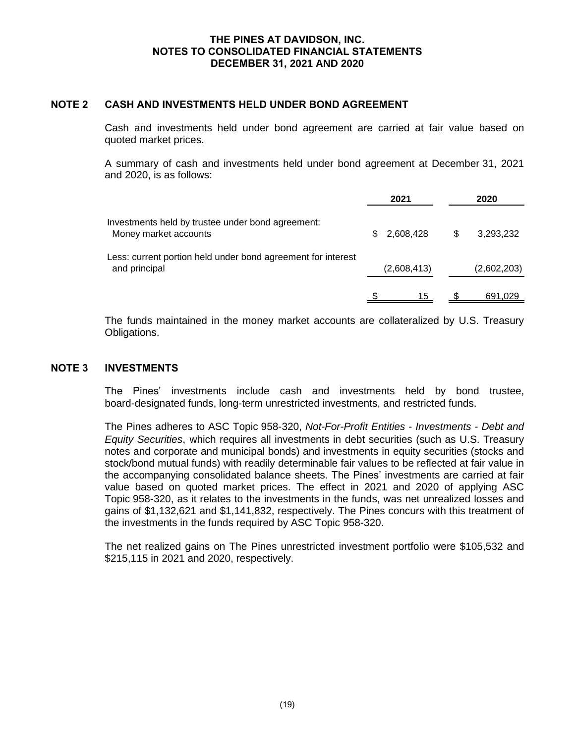## **NOTE 2 CASH AND INVESTMENTS HELD UNDER BOND AGREEMENT**

Cash and investments held under bond agreement are carried at fair value based on quoted market prices.

A summary of cash and investments held under bond agreement at December 31, 2021 and 2020, is as follows:

|                                                                               |     | 2021        | 2020            |
|-------------------------------------------------------------------------------|-----|-------------|-----------------|
| Investments held by trustee under bond agreement:<br>Money market accounts    | \$. | 2,608,428   | \$<br>3.293.232 |
| Less: current portion held under bond agreement for interest<br>and principal |     | (2,608,413) | (2,602,203)     |
|                                                                               |     | 15          | 691,029         |

The funds maintained in the money market accounts are collateralized by U.S. Treasury Obligations.

#### **NOTE 3 INVESTMENTS**

The Pines' investments include cash and investments held by bond trustee, board-designated funds, long-term unrestricted investments, and restricted funds.

The Pines adheres to ASC Topic 958-320, *Not-For-Profit Entities - Investments - Debt and Equity Securities*, which requires all investments in debt securities (such as U.S. Treasury notes and corporate and municipal bonds) and investments in equity securities (stocks and stock/bond mutual funds) with readily determinable fair values to be reflected at fair value in the accompanying consolidated balance sheets. The Pines' investments are carried at fair value based on quoted market prices. The effect in 2021 and 2020 of applying ASC Topic 958-320, as it relates to the investments in the funds, was net unrealized losses and gains of \$1,132,621 and \$1,141,832, respectively. The Pines concurs with this treatment of the investments in the funds required by ASC Topic 958-320.

The net realized gains on The Pines unrestricted investment portfolio were \$105,532 and \$215,115 in 2021 and 2020, respectively.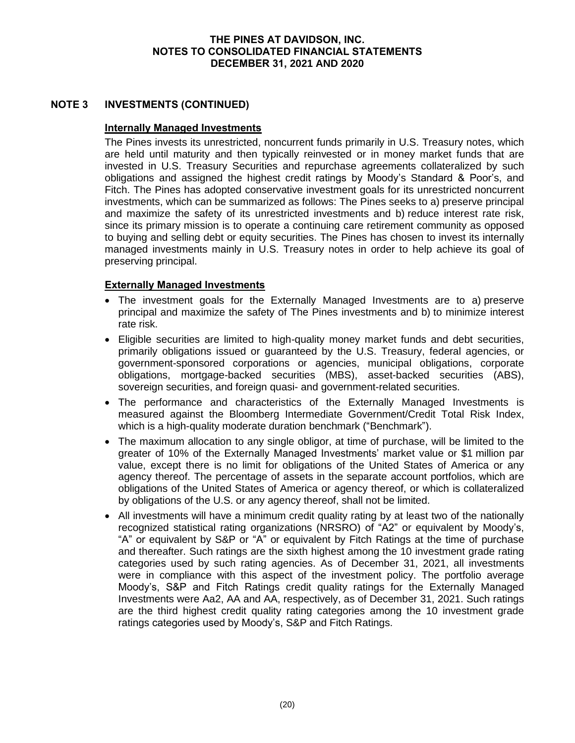# **NOTE 3 INVESTMENTS (CONTINUED)**

# **Internally Managed Investments**

The Pines invests its unrestricted, noncurrent funds primarily in U.S. Treasury notes, which are held until maturity and then typically reinvested or in money market funds that are invested in U.S. Treasury Securities and repurchase agreements collateralized by such obligations and assigned the highest credit ratings by Moody's Standard & Poor's, and Fitch. The Pines has adopted conservative investment goals for its unrestricted noncurrent investments, which can be summarized as follows: The Pines seeks to a) preserve principal and maximize the safety of its unrestricted investments and b) reduce interest rate risk, since its primary mission is to operate a continuing care retirement community as opposed to buying and selling debt or equity securities. The Pines has chosen to invest its internally managed investments mainly in U.S. Treasury notes in order to help achieve its goal of preserving principal.

# **Externally Managed Investments**

- The investment goals for the Externally Managed Investments are to a) preserve principal and maximize the safety of The Pines investments and b) to minimize interest rate risk.
- Eligible securities are limited to high-quality money market funds and debt securities, primarily obligations issued or guaranteed by the U.S. Treasury, federal agencies, or government-sponsored corporations or agencies, municipal obligations, corporate obligations, mortgage-backed securities (MBS), asset-backed securities (ABS), sovereign securities, and foreign quasi- and government-related securities.
- The performance and characteristics of the Externally Managed Investments is measured against the Bloomberg Intermediate Government/Credit Total Risk Index, which is a high-quality moderate duration benchmark ("Benchmark").
- The maximum allocation to any single obligor, at time of purchase, will be limited to the greater of 10% of the Externally Managed Investments' market value or \$1 million par value, except there is no limit for obligations of the United States of America or any agency thereof. The percentage of assets in the separate account portfolios, which are obligations of the United States of America or agency thereof, or which is collateralized by obligations of the U.S. or any agency thereof, shall not be limited.
- All investments will have a minimum credit quality rating by at least two of the nationally recognized statistical rating organizations (NRSRO) of "A2" or equivalent by Moody's, "A" or equivalent by S&P or "A" or equivalent by Fitch Ratings at the time of purchase and thereafter. Such ratings are the sixth highest among the 10 investment grade rating categories used by such rating agencies. As of December 31, 2021, all investments were in compliance with this aspect of the investment policy. The portfolio average Moody's, S&P and Fitch Ratings credit quality ratings for the Externally Managed Investments were Aa2, AA and AA, respectively, as of December 31, 2021. Such ratings are the third highest credit quality rating categories among the 10 investment grade ratings categories used by Moody's, S&P and Fitch Ratings.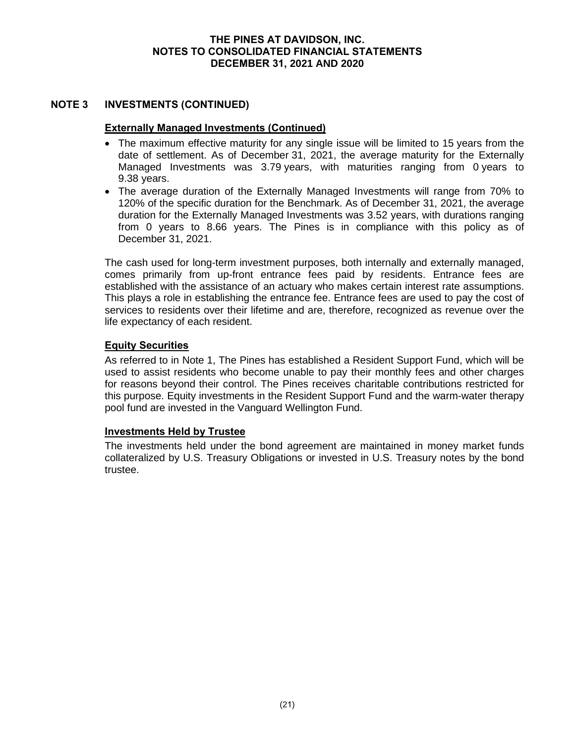# **NOTE 3 INVESTMENTS (CONTINUED)**

# **Externally Managed Investments (Continued)**

- The maximum effective maturity for any single issue will be limited to 15 years from the date of settlement. As of December 31, 2021, the average maturity for the Externally Managed Investments was 3.79 years, with maturities ranging from 0 years to 9.38 years.
- The average duration of the Externally Managed Investments will range from 70% to 120% of the specific duration for the Benchmark. As of December 31, 2021, the average duration for the Externally Managed Investments was 3.52 years, with durations ranging from 0 years to 8.66 years. The Pines is in compliance with this policy as of December 31, 2021.

The cash used for long-term investment purposes, both internally and externally managed, comes primarily from up-front entrance fees paid by residents. Entrance fees are established with the assistance of an actuary who makes certain interest rate assumptions. This plays a role in establishing the entrance fee. Entrance fees are used to pay the cost of services to residents over their lifetime and are, therefore, recognized as revenue over the life expectancy of each resident.

# **Equity Securities**

As referred to in Note 1, The Pines has established a Resident Support Fund, which will be used to assist residents who become unable to pay their monthly fees and other charges for reasons beyond their control. The Pines receives charitable contributions restricted for this purpose. Equity investments in the Resident Support Fund and the warm-water therapy pool fund are invested in the Vanguard Wellington Fund.

#### **Investments Held by Trustee**

The investments held under the bond agreement are maintained in money market funds collateralized by U.S. Treasury Obligations or invested in U.S. Treasury notes by the bond trustee.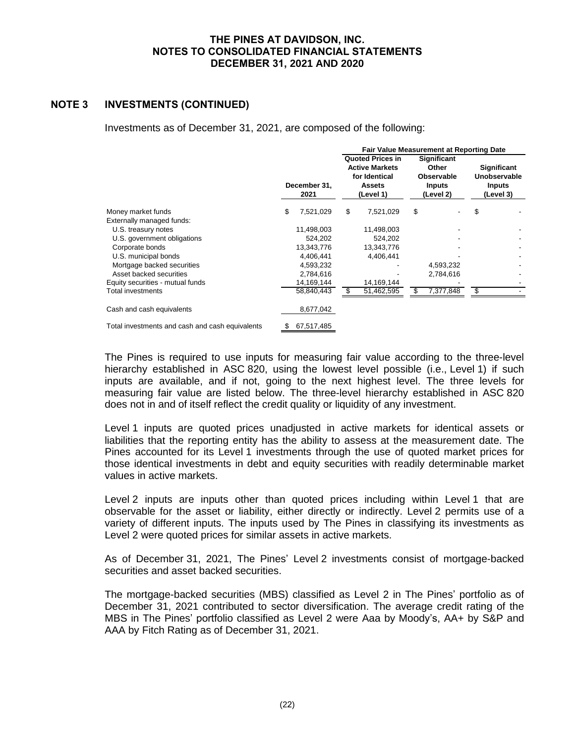# **NOTE 3 INVESTMENTS (CONTINUED)**

Investments as of December 31, 2021, are composed of the following:

|                                                 |    |                      | <b>Fair Value Measurement at Reporting Date</b>                                                 |            |                                                                         |           |                                                                  |  |  |
|-------------------------------------------------|----|----------------------|-------------------------------------------------------------------------------------------------|------------|-------------------------------------------------------------------------|-----------|------------------------------------------------------------------|--|--|
|                                                 |    | December 31.<br>2021 | <b>Quoted Prices in</b><br><b>Active Markets</b><br>for Identical<br><b>Assets</b><br>(Level 1) |            | <b>Significant</b><br>Other<br>Observable<br><b>Inputs</b><br>(Level 2) |           | <b>Significant</b><br>Unobservable<br><b>Inputs</b><br>(Level 3) |  |  |
| Money market funds                              | \$ | 7,521,029            | S                                                                                               | 7,521,029  | \$                                                                      |           | \$                                                               |  |  |
| Externally managed funds:                       |    |                      |                                                                                                 |            |                                                                         |           |                                                                  |  |  |
| U.S. treasury notes                             |    | 11,498,003           |                                                                                                 | 11,498,003 |                                                                         |           |                                                                  |  |  |
| U.S. government obligations                     |    | 524,202              |                                                                                                 | 524,202    |                                                                         |           |                                                                  |  |  |
| Corporate bonds                                 |    | 13,343,776           |                                                                                                 | 13,343,776 |                                                                         |           |                                                                  |  |  |
| U.S. municipal bonds                            |    | 4,406,441            |                                                                                                 | 4,406,441  |                                                                         |           |                                                                  |  |  |
| Mortgage backed securities                      |    | 4,593,232            |                                                                                                 |            |                                                                         | 4,593,232 |                                                                  |  |  |
| Asset backed securities                         |    | 2,784,616            |                                                                                                 |            |                                                                         | 2,784,616 |                                                                  |  |  |
| Equity securities - mutual funds                |    | 14,169,144           |                                                                                                 | 14,169,144 |                                                                         |           |                                                                  |  |  |
| Total investments                               |    | 58,840,443           | S                                                                                               | 51,462,595 |                                                                         | 7,377,848 | \$                                                               |  |  |
| Cash and cash equivalents                       |    | 8,677,042            |                                                                                                 |            |                                                                         |           |                                                                  |  |  |
| Total investments and cash and cash equivalents | S  | 67,517,485           |                                                                                                 |            |                                                                         |           |                                                                  |  |  |

The Pines is required to use inputs for measuring fair value according to the three-level hierarchy established in ASC 820, using the lowest level possible (i.e., Level 1) if such inputs are available, and if not, going to the next highest level. The three levels for measuring fair value are listed below. The three-level hierarchy established in ASC 820 does not in and of itself reflect the credit quality or liquidity of any investment.

Level 1 inputs are quoted prices unadjusted in active markets for identical assets or liabilities that the reporting entity has the ability to assess at the measurement date. The Pines accounted for its Level 1 investments through the use of quoted market prices for those identical investments in debt and equity securities with readily determinable market values in active markets.

Level 2 inputs are inputs other than quoted prices including within Level 1 that are observable for the asset or liability, either directly or indirectly. Level 2 permits use of a variety of different inputs. The inputs used by The Pines in classifying its investments as Level 2 were quoted prices for similar assets in active markets.

As of December 31, 2021, The Pines' Level 2 investments consist of mortgage-backed securities and asset backed securities.

The mortgage-backed securities (MBS) classified as Level 2 in The Pines' portfolio as of December 31, 2021 contributed to sector diversification. The average credit rating of the MBS in The Pines' portfolio classified as Level 2 were Aaa by Moody's, AA+ by S&P and AAA by Fitch Rating as of December 31, 2021.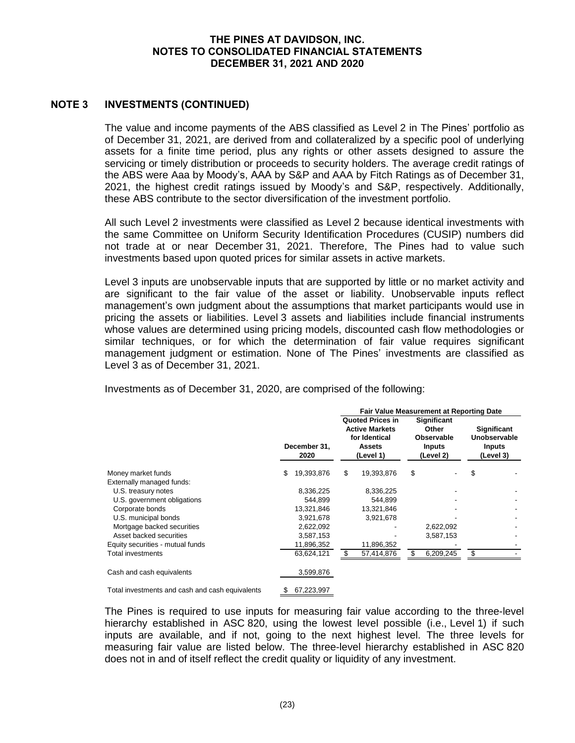# **NOTE 3 INVESTMENTS (CONTINUED)**

The value and income payments of the ABS classified as Level 2 in The Pines' portfolio as of December 31, 2021, are derived from and collateralized by a specific pool of underlying assets for a finite time period, plus any rights or other assets designed to assure the servicing or timely distribution or proceeds to security holders. The average credit ratings of the ABS were Aaa by Moody's, AAA by S&P and AAA by Fitch Ratings as of December 31, 2021, the highest credit ratings issued by Moody's and S&P, respectively. Additionally, these ABS contribute to the sector diversification of the investment portfolio.

All such Level 2 investments were classified as Level 2 because identical investments with the same Committee on Uniform Security Identification Procedures (CUSIP) numbers did not trade at or near December 31, 2021. Therefore, The Pines had to value such investments based upon quoted prices for similar assets in active markets.

Level 3 inputs are unobservable inputs that are supported by little or no market activity and are significant to the fair value of the asset or liability. Unobservable inputs reflect management's own judgment about the assumptions that market participants would use in pricing the assets or liabilities. Level 3 assets and liabilities include financial instruments whose values are determined using pricing models, discounted cash flow methodologies or similar techniques, or for which the determination of fair value requires significant management judgment or estimation. None of The Pines' investments are classified as Level 3 as of December 31, 2021.

Investments as of December 31, 2020, are comprised of the following:

|                                                 |   |                      | <b>Fair Value Measurement at Reporting Date</b> |                                                                                                 |    |                                                                  |                                                                  |  |  |
|-------------------------------------------------|---|----------------------|-------------------------------------------------|-------------------------------------------------------------------------------------------------|----|------------------------------------------------------------------|------------------------------------------------------------------|--|--|
| Money market funds                              |   | December 31.<br>2020 |                                                 | <b>Quoted Prices in</b><br><b>Active Markets</b><br>for Identical<br><b>Assets</b><br>(Level 1) |    | Significant<br>Other<br>Observable<br><b>Inputs</b><br>(Level 2) | <b>Significant</b><br>Unobservable<br><b>Inputs</b><br>(Level 3) |  |  |
|                                                 |   | 19,393,876           | S                                               | 19,393,876                                                                                      | \$ |                                                                  | \$                                                               |  |  |
| Externally managed funds:                       |   |                      |                                                 |                                                                                                 |    |                                                                  |                                                                  |  |  |
| U.S. treasury notes                             |   | 8,336,225            |                                                 | 8,336,225                                                                                       |    |                                                                  |                                                                  |  |  |
| U.S. government obligations                     |   | 544.899              |                                                 | 544.899                                                                                         |    |                                                                  |                                                                  |  |  |
| Corporate bonds                                 |   | 13,321,846           |                                                 | 13,321,846                                                                                      |    |                                                                  |                                                                  |  |  |
| U.S. municipal bonds                            |   | 3,921,678            |                                                 | 3,921,678                                                                                       |    |                                                                  |                                                                  |  |  |
| Mortgage backed securities                      |   | 2,622,092            |                                                 |                                                                                                 |    | 2,622,092                                                        |                                                                  |  |  |
| Asset backed securities                         |   | 3,587,153            |                                                 |                                                                                                 |    | 3,587,153                                                        |                                                                  |  |  |
| Equity securities - mutual funds                |   | 11,896,352           |                                                 | 11,896,352                                                                                      |    |                                                                  |                                                                  |  |  |
| <b>Total investments</b>                        |   | 63,624,121           | S                                               | 57,414,876                                                                                      |    | 6,209,245                                                        | \$                                                               |  |  |
| Cash and cash equivalents                       |   | 3,599,876            |                                                 |                                                                                                 |    |                                                                  |                                                                  |  |  |
| Total investments and cash and cash equivalents | S | 67,223,997           |                                                 |                                                                                                 |    |                                                                  |                                                                  |  |  |

The Pines is required to use inputs for measuring fair value according to the three-level hierarchy established in ASC 820, using the lowest level possible (i.e., Level 1) if such inputs are available, and if not, going to the next highest level. The three levels for measuring fair value are listed below. The three-level hierarchy established in ASC 820 does not in and of itself reflect the credit quality or liquidity of any investment.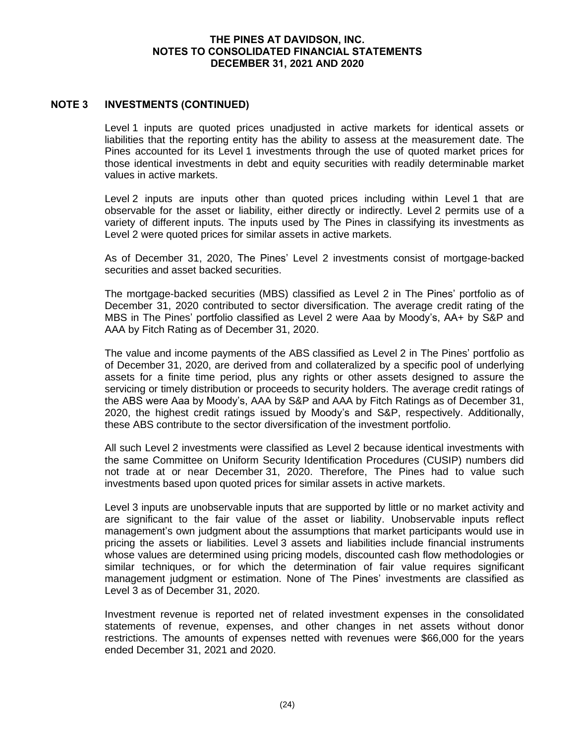# **NOTE 3 INVESTMENTS (CONTINUED)**

Level 1 inputs are quoted prices unadjusted in active markets for identical assets or liabilities that the reporting entity has the ability to assess at the measurement date. The Pines accounted for its Level 1 investments through the use of quoted market prices for those identical investments in debt and equity securities with readily determinable market values in active markets.

Level 2 inputs are inputs other than quoted prices including within Level 1 that are observable for the asset or liability, either directly or indirectly. Level 2 permits use of a variety of different inputs. The inputs used by The Pines in classifying its investments as Level 2 were quoted prices for similar assets in active markets.

As of December 31, 2020, The Pines' Level 2 investments consist of mortgage-backed securities and asset backed securities.

The mortgage-backed securities (MBS) classified as Level 2 in The Pines' portfolio as of December 31, 2020 contributed to sector diversification. The average credit rating of the MBS in The Pines' portfolio classified as Level 2 were Aaa by Moody's, AA+ by S&P and AAA by Fitch Rating as of December 31, 2020.

The value and income payments of the ABS classified as Level 2 in The Pines' portfolio as of December 31, 2020, are derived from and collateralized by a specific pool of underlying assets for a finite time period, plus any rights or other assets designed to assure the servicing or timely distribution or proceeds to security holders. The average credit ratings of the ABS were Aaa by Moody's, AAA by S&P and AAA by Fitch Ratings as of December 31, 2020, the highest credit ratings issued by Moody's and S&P, respectively. Additionally, these ABS contribute to the sector diversification of the investment portfolio.

All such Level 2 investments were classified as Level 2 because identical investments with the same Committee on Uniform Security Identification Procedures (CUSIP) numbers did not trade at or near December 31, 2020. Therefore, The Pines had to value such investments based upon quoted prices for similar assets in active markets.

Level 3 inputs are unobservable inputs that are supported by little or no market activity and are significant to the fair value of the asset or liability. Unobservable inputs reflect management's own judgment about the assumptions that market participants would use in pricing the assets or liabilities. Level 3 assets and liabilities include financial instruments whose values are determined using pricing models, discounted cash flow methodologies or similar techniques, or for which the determination of fair value requires significant management judgment or estimation. None of The Pines' investments are classified as Level 3 as of December 31, 2020.

Investment revenue is reported net of related investment expenses in the consolidated statements of revenue, expenses, and other changes in net assets without donor restrictions. The amounts of expenses netted with revenues were \$66,000 for the years ended December 31, 2021 and 2020.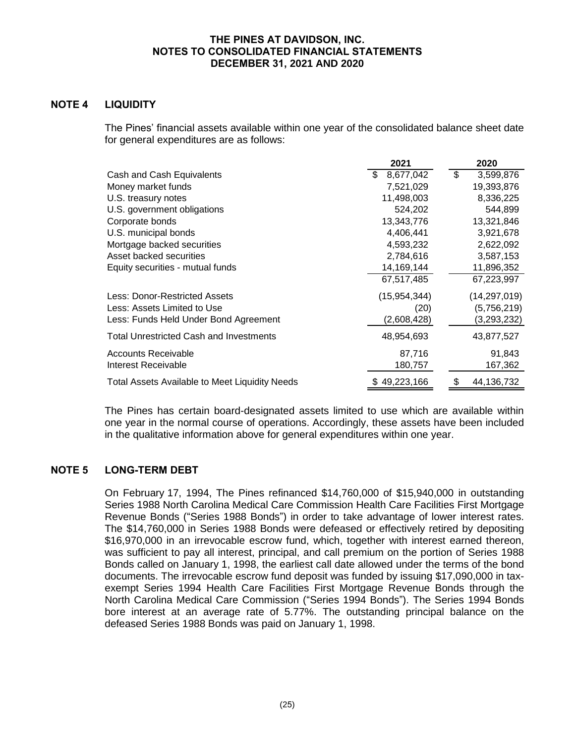# **NOTE 4 LIQUIDITY**

The Pines' financial assets available within one year of the consolidated balance sheet date for general expenditures are as follows:

|                                                       | 2021           | 2020             |
|-------------------------------------------------------|----------------|------------------|
| Cash and Cash Equivalents                             | 8,677,042      | \$<br>3,599,876  |
| Money market funds                                    | 7,521,029      | 19,393,876       |
| U.S. treasury notes                                   | 11,498,003     | 8,336,225        |
| U.S. government obligations                           | 524,202        | 544,899          |
| Corporate bonds                                       | 13,343,776     | 13,321,846       |
| U.S. municipal bonds                                  | 4,406,441      | 3,921,678        |
| Mortgage backed securities                            | 4,593,232      | 2,622,092        |
| Asset backed securities                               | 2,784,616      | 3,587,153        |
| Equity securities - mutual funds                      | 14,169,144     | 11,896,352       |
|                                                       | 67,517,485     | 67,223,997       |
| Less: Donor-Restricted Assets                         | (15, 954, 344) | (14, 297, 019)   |
| Less: Assets Limited to Use                           | (20)           | (5,756,219)      |
| Less: Funds Held Under Bond Agreement                 | (2,608,428)    | (3,293,232)      |
| <b>Total Unrestricted Cash and Investments</b>        | 48,954,693     | 43,877,527       |
| Accounts Receivable                                   | 87,716         | 91,843           |
| Interest Receivable                                   | 180,757        | 167,362          |
| <b>Total Assets Available to Meet Liquidity Needs</b> | \$49,223,166   | \$<br>44,136,732 |

The Pines has certain board-designated assets limited to use which are available within one year in the normal course of operations. Accordingly, these assets have been included in the qualitative information above for general expenditures within one year.

# **NOTE 5 LONG-TERM DEBT**

On February 17, 1994, The Pines refinanced \$14,760,000 of \$15,940,000 in outstanding Series 1988 North Carolina Medical Care Commission Health Care Facilities First Mortgage Revenue Bonds ("Series 1988 Bonds") in order to take advantage of lower interest rates. The \$14,760,000 in Series 1988 Bonds were defeased or effectively retired by depositing \$16,970,000 in an irrevocable escrow fund, which, together with interest earned thereon, was sufficient to pay all interest, principal, and call premium on the portion of Series 1988 Bonds called on January 1, 1998, the earliest call date allowed under the terms of the bond documents. The irrevocable escrow fund deposit was funded by issuing \$17,090,000 in taxexempt Series 1994 Health Care Facilities First Mortgage Revenue Bonds through the North Carolina Medical Care Commission ("Series 1994 Bonds"). The Series 1994 Bonds bore interest at an average rate of 5.77%. The outstanding principal balance on the defeased Series 1988 Bonds was paid on January 1, 1998.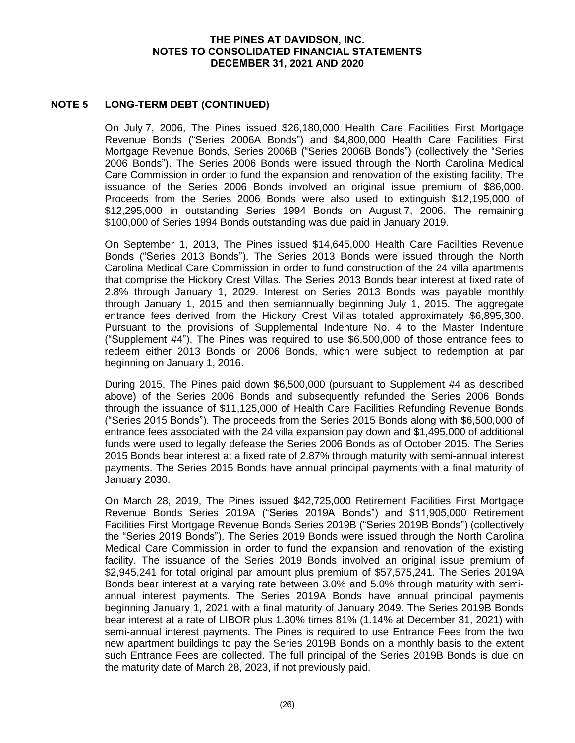# **NOTE 5 LONG-TERM DEBT (CONTINUED)**

On July 7, 2006, The Pines issued \$26,180,000 Health Care Facilities First Mortgage Revenue Bonds ("Series 2006A Bonds") and \$4,800,000 Health Care Facilities First Mortgage Revenue Bonds, Series 2006B ("Series 2006B Bonds") (collectively the "Series 2006 Bonds"). The Series 2006 Bonds were issued through the North Carolina Medical Care Commission in order to fund the expansion and renovation of the existing facility. The issuance of the Series 2006 Bonds involved an original issue premium of \$86,000. Proceeds from the Series 2006 Bonds were also used to extinguish \$12,195,000 of \$12,295,000 in outstanding Series 1994 Bonds on August 7, 2006. The remaining \$100,000 of Series 1994 Bonds outstanding was due paid in January 2019.

On September 1, 2013, The Pines issued \$14,645,000 Health Care Facilities Revenue Bonds ("Series 2013 Bonds"). The Series 2013 Bonds were issued through the North Carolina Medical Care Commission in order to fund construction of the 24 villa apartments that comprise the Hickory Crest Villas. The Series 2013 Bonds bear interest at fixed rate of 2.8% through January 1, 2029. Interest on Series 2013 Bonds was payable monthly through January 1, 2015 and then semiannually beginning July 1, 2015. The aggregate entrance fees derived from the Hickory Crest Villas totaled approximately \$6,895,300. Pursuant to the provisions of Supplemental Indenture No. 4 to the Master Indenture ("Supplement #4"), The Pines was required to use \$6,500,000 of those entrance fees to redeem either 2013 Bonds or 2006 Bonds, which were subject to redemption at par beginning on January 1, 2016.

During 2015, The Pines paid down \$6,500,000 (pursuant to Supplement #4 as described above) of the Series 2006 Bonds and subsequently refunded the Series 2006 Bonds through the issuance of \$11,125,000 of Health Care Facilities Refunding Revenue Bonds ("Series 2015 Bonds"). The proceeds from the Series 2015 Bonds along with \$6,500,000 of entrance fees associated with the 24 villa expansion pay down and \$1,495,000 of additional funds were used to legally defease the Series 2006 Bonds as of October 2015. The Series 2015 Bonds bear interest at a fixed rate of 2.87% through maturity with semi-annual interest payments. The Series 2015 Bonds have annual principal payments with a final maturity of January 2030.

On March 28, 2019, The Pines issued \$42,725,000 Retirement Facilities First Mortgage Revenue Bonds Series 2019A ("Series 2019A Bonds") and \$11,905,000 Retirement Facilities First Mortgage Revenue Bonds Series 2019B ("Series 2019B Bonds") (collectively the "Series 2019 Bonds"). The Series 2019 Bonds were issued through the North Carolina Medical Care Commission in order to fund the expansion and renovation of the existing facility. The issuance of the Series 2019 Bonds involved an original issue premium of \$2,945,241 for total original par amount plus premium of \$57,575,241. The Series 2019A Bonds bear interest at a varying rate between 3.0% and 5.0% through maturity with semiannual interest payments. The Series 2019A Bonds have annual principal payments beginning January 1, 2021 with a final maturity of January 2049. The Series 2019B Bonds bear interest at a rate of LIBOR plus 1.30% times 81% (1.14% at December 31, 2021) with semi-annual interest payments. The Pines is required to use Entrance Fees from the two new apartment buildings to pay the Series 2019B Bonds on a monthly basis to the extent such Entrance Fees are collected. The full principal of the Series 2019B Bonds is due on the maturity date of March 28, 2023, if not previously paid.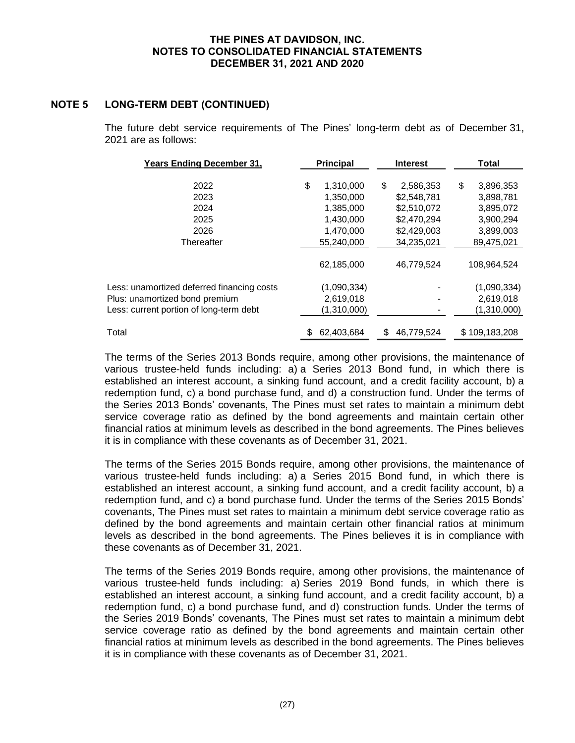# **NOTE 5 LONG-TERM DEBT (CONTINUED)**

The future debt service requirements of The Pines' long-term debt as of December 31, 2021 are as follows:

| <b>Years Ending December 31,</b>           |    | <b>Principal</b> |    | <b>Interest</b> | <b>Total</b>    |  |  |
|--------------------------------------------|----|------------------|----|-----------------|-----------------|--|--|
|                                            |    |                  |    |                 |                 |  |  |
| 2022                                       | \$ | 1,310,000        | \$ | 2,586,353       | \$<br>3,896,353 |  |  |
| 2023                                       |    | 1,350,000        |    | \$2,548,781     | 3,898,781       |  |  |
| 2024                                       |    | 1,385,000        |    | \$2,510,072     | 3,895,072       |  |  |
| 2025                                       |    | 1,430,000        |    | \$2,470,294     | 3,900,294       |  |  |
| 2026                                       |    | 1,470,000        |    | \$2,429,003     | 3,899,003       |  |  |
| Thereafter                                 |    | 55.240.000       |    | 34,235,021      | 89,475,021      |  |  |
|                                            |    |                  |    |                 |                 |  |  |
|                                            |    | 62,185,000       |    | 46.779.524      | 108.964.524     |  |  |
| Less: unamortized deferred financing costs |    | (1,090,334)      |    |                 | (1,090,334)     |  |  |
| Plus: unamortized bond premium             |    | 2,619,018        |    |                 | 2,619,018       |  |  |
| Less: current portion of long-term debt    |    | (1,310,000)      |    |                 | (1,310,000)     |  |  |
| Total                                      |    | 62,403,684       | S  | 46.779.524      | \$109,183,208   |  |  |
|                                            |    |                  |    |                 |                 |  |  |

The terms of the Series 2013 Bonds require, among other provisions, the maintenance of various trustee-held funds including: a) a Series 2013 Bond fund, in which there is established an interest account, a sinking fund account, and a credit facility account, b) a redemption fund, c) a bond purchase fund, and d) a construction fund. Under the terms of the Series 2013 Bonds' covenants, The Pines must set rates to maintain a minimum debt service coverage ratio as defined by the bond agreements and maintain certain other financial ratios at minimum levels as described in the bond agreements. The Pines believes it is in compliance with these covenants as of December 31, 2021.

The terms of the Series 2015 Bonds require, among other provisions, the maintenance of various trustee-held funds including: a) a Series 2015 Bond fund, in which there is established an interest account, a sinking fund account, and a credit facility account, b) a redemption fund, and c) a bond purchase fund. Under the terms of the Series 2015 Bonds' covenants, The Pines must set rates to maintain a minimum debt service coverage ratio as defined by the bond agreements and maintain certain other financial ratios at minimum levels as described in the bond agreements. The Pines believes it is in compliance with these covenants as of December 31, 2021.

The terms of the Series 2019 Bonds require, among other provisions, the maintenance of various trustee-held funds including: a) Series 2019 Bond funds, in which there is established an interest account, a sinking fund account, and a credit facility account, b) a redemption fund, c) a bond purchase fund, and d) construction funds. Under the terms of the Series 2019 Bonds' covenants, The Pines must set rates to maintain a minimum debt service coverage ratio as defined by the bond agreements and maintain certain other financial ratios at minimum levels as described in the bond agreements. The Pines believes it is in compliance with these covenants as of December 31, 2021.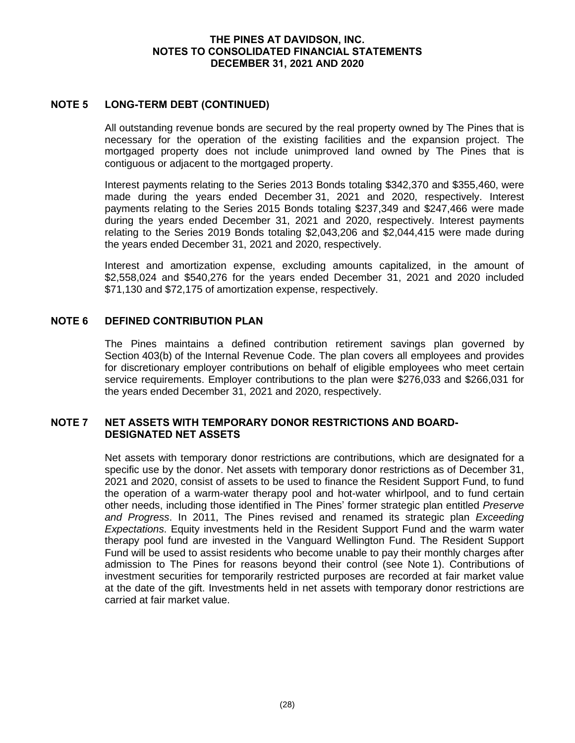# **NOTE 5 LONG-TERM DEBT (CONTINUED)**

All outstanding revenue bonds are secured by the real property owned by The Pines that is necessary for the operation of the existing facilities and the expansion project. The mortgaged property does not include unimproved land owned by The Pines that is contiguous or adjacent to the mortgaged property.

Interest payments relating to the Series 2013 Bonds totaling \$342,370 and \$355,460, were made during the years ended December 31, 2021 and 2020, respectively. Interest payments relating to the Series 2015 Bonds totaling \$237,349 and \$247,466 were made during the years ended December 31, 2021 and 2020, respectively. Interest payments relating to the Series 2019 Bonds totaling \$2,043,206 and \$2,044,415 were made during the years ended December 31, 2021 and 2020, respectively.

Interest and amortization expense, excluding amounts capitalized, in the amount of \$2,558,024 and \$540,276 for the years ended December 31, 2021 and 2020 included \$71,130 and \$72,175 of amortization expense, respectively.

## **NOTE 6 DEFINED CONTRIBUTION PLAN**

The Pines maintains a defined contribution retirement savings plan governed by Section 403(b) of the Internal Revenue Code. The plan covers all employees and provides for discretionary employer contributions on behalf of eligible employees who meet certain service requirements. Employer contributions to the plan were \$276,033 and \$266,031 for the years ended December 31, 2021 and 2020, respectively.

#### **NOTE 7 NET ASSETS WITH TEMPORARY DONOR RESTRICTIONS AND BOARD-DESIGNATED NET ASSETS**

Net assets with temporary donor restrictions are contributions, which are designated for a specific use by the donor. Net assets with temporary donor restrictions as of December 31, 2021 and 2020, consist of assets to be used to finance the Resident Support Fund, to fund the operation of a warm-water therapy pool and hot-water whirlpool, and to fund certain other needs, including those identified in The Pines' former strategic plan entitled *Preserve and Progress*. In 2011, The Pines revised and renamed its strategic plan *Exceeding Expectations*. Equity investments held in the Resident Support Fund and the warm water therapy pool fund are invested in the Vanguard Wellington Fund. The Resident Support Fund will be used to assist residents who become unable to pay their monthly charges after admission to The Pines for reasons beyond their control (see Note 1). Contributions of investment securities for temporarily restricted purposes are recorded at fair market value at the date of the gift. Investments held in net assets with temporary donor restrictions are carried at fair market value.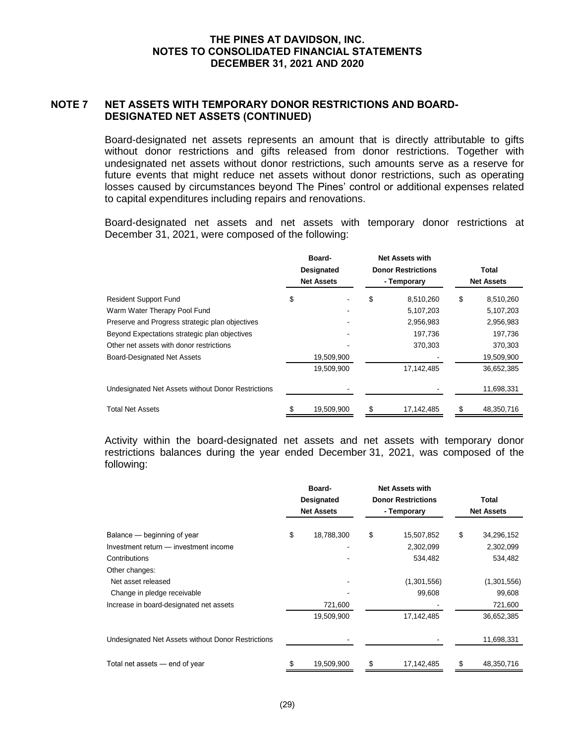# **NOTE 7 NET ASSETS WITH TEMPORARY DONOR RESTRICTIONS AND BOARD-DESIGNATED NET ASSETS (CONTINUED)**

Board-designated net assets represents an amount that is directly attributable to gifts without donor restrictions and gifts released from donor restrictions. Together with undesignated net assets without donor restrictions, such amounts serve as a reserve for future events that might reduce net assets without donor restrictions, such as operating losses caused by circumstances beyond The Pines' control or additional expenses related to capital expenditures including repairs and renovations.

Board-designated net assets and net assets with temporary donor restrictions at December 31, 2021, were composed of the following:

|                                                    |    | Board-<br>Designated<br><b>Net Assets</b> | <b>Net Assets with</b><br><b>Donor Restrictions</b><br>- Temporary |    | Total<br><b>Net Assets</b> |
|----------------------------------------------------|----|-------------------------------------------|--------------------------------------------------------------------|----|----------------------------|
| <b>Resident Support Fund</b>                       | \$ |                                           | \$<br>8,510,260                                                    | \$ | 8,510,260                  |
| Warm Water Therapy Pool Fund                       |    |                                           | 5,107,203                                                          |    | 5,107,203                  |
| Preserve and Progress strategic plan objectives    |    |                                           | 2,956,983                                                          |    | 2,956,983                  |
| Beyond Expectations strategic plan objectives      |    |                                           | 197,736                                                            |    | 197,736                    |
| Other net assets with donor restrictions           |    |                                           | 370,303                                                            |    | 370,303                    |
| <b>Board-Designated Net Assets</b>                 |    | 19,509,900                                |                                                                    |    | 19,509,900                 |
|                                                    |    | 19,509,900                                | 17,142,485                                                         |    | 36,652,385                 |
| Undesignated Net Assets without Donor Restrictions |    |                                           |                                                                    |    | 11,698,331                 |
| <b>Total Net Assets</b>                            |    | 19,509,900                                | \$<br>17,142,485                                                   | S  | 48,350,716                 |

Activity within the board-designated net assets and net assets with temporary donor restrictions balances during the year ended December 31, 2021, was composed of the following:

| iuliuwii iy.                                       |                   |                           |                   |
|----------------------------------------------------|-------------------|---------------------------|-------------------|
|                                                    | Board-            | <b>Net Assets with</b>    |                   |
|                                                    | Designated        | <b>Donor Restrictions</b> | <b>Total</b>      |
|                                                    | <b>Net Assets</b> | - Temporary               | <b>Net Assets</b> |
| Balance – beginning of year                        | \$<br>18,788,300  | \$<br>15,507,852          | \$<br>34,296,152  |
| Investment return - investment income              |                   | 2,302,099                 | 2,302,099         |
| Contributions                                      |                   | 534,482                   | 534,482           |
| Other changes:                                     |                   |                           |                   |
| Net asset released                                 |                   | (1,301,556)               | (1,301,556)       |
| Change in pledge receivable                        |                   | 99,608                    | 99,608            |
| Increase in board-designated net assets            | 721,600           |                           | 721,600           |
|                                                    | 19,509,900        | 17,142,485                | 36,652,385        |
| Undesignated Net Assets without Donor Restrictions |                   |                           | 11,698,331        |
| Total net assets - end of year                     | 19,509,900        | \$<br>17,142,485          | \$<br>48,350,716  |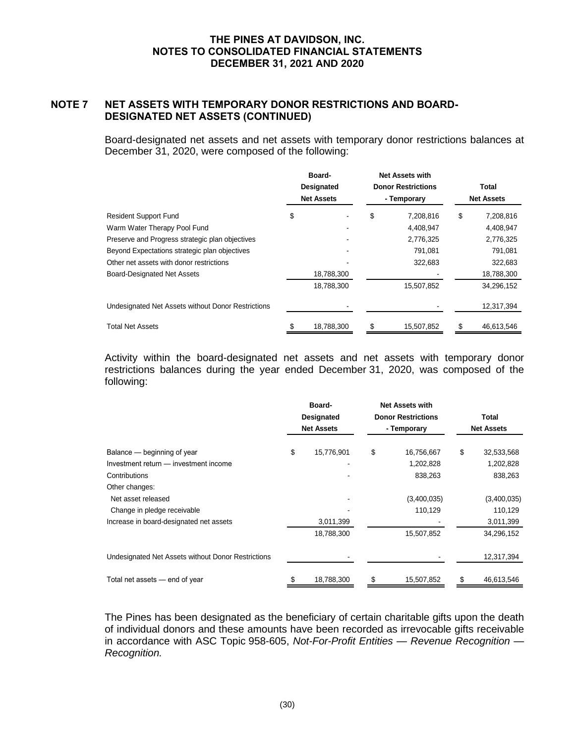# **NOTE 7 NET ASSETS WITH TEMPORARY DONOR RESTRICTIONS AND BOARD-DESIGNATED NET ASSETS (CONTINUED)**

Board-designated net assets and net assets with temporary donor restrictions balances at December 31, 2020, were composed of the following:

|                                                    | Board-<br>Designated<br><b>Net Assets</b> | <b>Net Assets with</b><br><b>Donor Restrictions</b><br>- Temporary | Total<br><b>Net Assets</b> |
|----------------------------------------------------|-------------------------------------------|--------------------------------------------------------------------|----------------------------|
| <b>Resident Support Fund</b>                       | \$                                        | \$<br>7,208,816                                                    | \$<br>7,208,816            |
| Warm Water Therapy Pool Fund                       |                                           | 4,408,947                                                          | 4,408,947                  |
| Preserve and Progress strategic plan objectives    |                                           | 2,776,325                                                          | 2,776,325                  |
| Beyond Expectations strategic plan objectives      |                                           | 791,081                                                            | 791,081                    |
| Other net assets with donor restrictions           |                                           | 322,683                                                            | 322,683                    |
| <b>Board-Designated Net Assets</b>                 | 18,788,300                                |                                                                    | 18,788,300                 |
|                                                    | 18,788,300                                | 15,507,852                                                         | 34,296,152                 |
| Undesignated Net Assets without Donor Restrictions |                                           |                                                                    | 12,317,394                 |
| <b>Total Net Assets</b>                            | 18,788,300                                | 15,507,852                                                         | 46,613,546                 |

Activity within the board-designated net assets and net assets with temporary donor restrictions balances during the year ended December 31, 2020, was composed of the following:

| TUITUWILIY.                                        |                   |                           |    |                   |
|----------------------------------------------------|-------------------|---------------------------|----|-------------------|
|                                                    | Board-            | <b>Net Assets with</b>    |    |                   |
|                                                    | <b>Designated</b> | <b>Donor Restrictions</b> |    | Total             |
|                                                    | <b>Net Assets</b> | - Temporary               |    | <b>Net Assets</b> |
| Balance – beginning of year                        | \$<br>15,776,901  | \$<br>16,756,667          | \$ | 32,533,568        |
| Investment return - investment income              |                   | 1,202,828                 |    | 1,202,828         |
| Contributions                                      |                   | 838,263                   |    | 838,263           |
| Other changes:                                     |                   |                           |    |                   |
| Net asset released                                 |                   | (3,400,035)               |    | (3,400,035)       |
| Change in pledge receivable                        |                   | 110,129                   |    | 110,129           |
| Increase in board-designated net assets            | 3,011,399         |                           |    | 3,011,399         |
|                                                    | 18,788,300        | 15,507,852                |    | 34,296,152        |
| Undesignated Net Assets without Donor Restrictions |                   |                           |    | 12,317,394        |
| Total net assets - end of year                     | \$<br>18,788,300  | \$<br>15,507,852          | S  | 46,613,546        |

The Pines has been designated as the beneficiary of certain charitable gifts upon the death of individual donors and these amounts have been recorded as irrevocable gifts receivable in accordance with ASC Topic 958-605, *Not-For-Profit Entities — Revenue Recognition — Recognition.*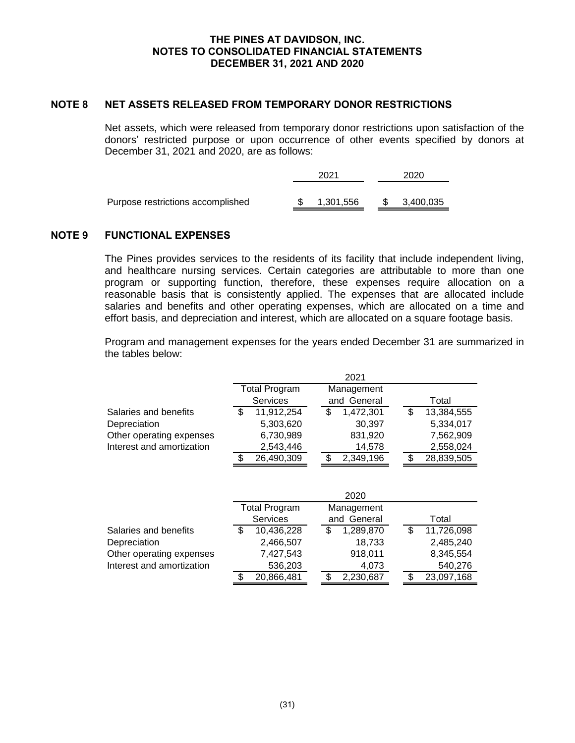# **NOTE 8 NET ASSETS RELEASED FROM TEMPORARY DONOR RESTRICTIONS**

Net assets, which were released from temporary donor restrictions upon satisfaction of the donors' restricted purpose or upon occurrence of other events specified by donors at December 31, 2021 and 2020, are as follows:

|                                   | 2021      | 2020      |
|-----------------------------------|-----------|-----------|
| Purpose restrictions accomplished | 1,301,556 | 3,400,035 |

# **NOTE 9 FUNCTIONAL EXPENSES**

The Pines provides services to the residents of its facility that include independent living, and healthcare nursing services. Certain categories are attributable to more than one program or supporting function, therefore, these expenses require allocation on a reasonable basis that is consistently applied. The expenses that are allocated include salaries and benefits and other operating expenses, which are allocated on a time and effort basis, and depreciation and interest, which are allocated on a square footage basis.

Program and management expenses for the years ended December 31 are summarized in the tables below:

|                           | <b>Total Program</b> |            | Management  |           |  |   |            |
|---------------------------|----------------------|------------|-------------|-----------|--|---|------------|
|                           | Services             |            | and General |           |  |   | Total      |
| Salaries and benefits     |                      | 11,912,254 |             | 1,472,301 |  | S | 13,384,555 |
| Depreciation              |                      | 5,303,620  |             | 30.397    |  |   | 5,334,017  |
| Other operating expenses  |                      | 6,730,989  |             | 831,920   |  |   | 7,562,909  |
| Interest and amortization |                      | 2,543,446  |             | 14,578    |  |   | 2,558,024  |
|                           |                      | 26,490,309 |             | 2,349,196 |  |   | 28,839,505 |

|                           |                                    |                 |  |             | 2020      |  |            |  |
|---------------------------|------------------------------------|-----------------|--|-------------|-----------|--|------------|--|
|                           | <b>Total Program</b><br>Management |                 |  |             |           |  |            |  |
|                           |                                    | <b>Services</b> |  | and General |           |  | Total      |  |
| Salaries and benefits     |                                    | 10,436,228      |  |             | 1,289,870 |  | 11,726,098 |  |
| Depreciation              |                                    | 2,466,507       |  |             | 18,733    |  | 2,485,240  |  |
| Other operating expenses  |                                    | 7,427,543       |  |             | 918,011   |  | 8,345,554  |  |
| Interest and amortization |                                    | 536,203         |  |             | 4,073     |  | 540,276    |  |
|                           |                                    | 20,866,481      |  |             | 2,230,687 |  | 23,097,168 |  |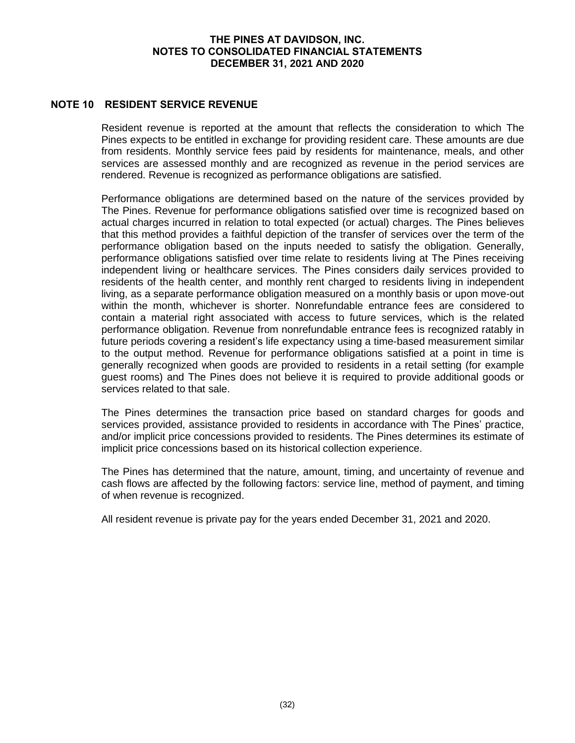# **NOTE 10 RESIDENT SERVICE REVENUE**

Resident revenue is reported at the amount that reflects the consideration to which The Pines expects to be entitled in exchange for providing resident care. These amounts are due from residents. Monthly service fees paid by residents for maintenance, meals, and other services are assessed monthly and are recognized as revenue in the period services are rendered. Revenue is recognized as performance obligations are satisfied.

Performance obligations are determined based on the nature of the services provided by The Pines. Revenue for performance obligations satisfied over time is recognized based on actual charges incurred in relation to total expected (or actual) charges. The Pines believes that this method provides a faithful depiction of the transfer of services over the term of the performance obligation based on the inputs needed to satisfy the obligation. Generally, performance obligations satisfied over time relate to residents living at The Pines receiving independent living or healthcare services. The Pines considers daily services provided to residents of the health center, and monthly rent charged to residents living in independent living, as a separate performance obligation measured on a monthly basis or upon move-out within the month, whichever is shorter. Nonrefundable entrance fees are considered to contain a material right associated with access to future services, which is the related performance obligation. Revenue from nonrefundable entrance fees is recognized ratably in future periods covering a resident's life expectancy using a time-based measurement similar to the output method. Revenue for performance obligations satisfied at a point in time is generally recognized when goods are provided to residents in a retail setting (for example guest rooms) and The Pines does not believe it is required to provide additional goods or services related to that sale.

The Pines determines the transaction price based on standard charges for goods and services provided, assistance provided to residents in accordance with The Pines' practice, and/or implicit price concessions provided to residents. The Pines determines its estimate of implicit price concessions based on its historical collection experience.

The Pines has determined that the nature, amount, timing, and uncertainty of revenue and cash flows are affected by the following factors: service line, method of payment, and timing of when revenue is recognized.

All resident revenue is private pay for the years ended December 31, 2021 and 2020.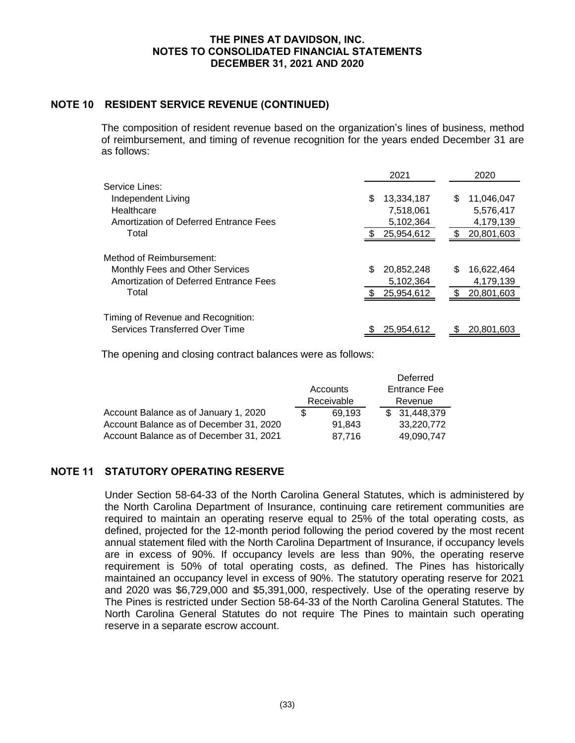# **NOTE 10 RESIDENT SERVICE REVENUE (CONTINUED)**

The composition of resident revenue based on the organization's lines of business, method of reimbursement, and timing of revenue recognition for the years ended December 31 are as follows:

|                                        | 2021             | 2020             |
|----------------------------------------|------------------|------------------|
| Service Lines:                         |                  |                  |
| Independent Living                     | \$<br>13,334,187 | 11,046,047<br>S  |
| Healthcare                             | 7,518,061        | 5,576,417        |
| Amortization of Deferred Entrance Fees | 5,102,364        | 4,179,139        |
| Total                                  | 25,954,612       | 20,801,603       |
| Method of Reimbursement:               |                  |                  |
| Monthly Fees and Other Services        | \$<br>20,852,248 | \$<br>16,622,464 |
| Amortization of Deferred Entrance Fees | 5,102,364        | 4,179,139        |
| Total                                  | 25,954,612       | \$<br>20,801,603 |
|                                        |                  |                  |
| Timing of Revenue and Recognition:     |                  |                  |
| Services Transferred Over Time         | 25.954.612       | 20,801,603       |

The opening and closing contract balances were as follows:

|                                         |            |        | Deferred            |
|-----------------------------------------|------------|--------|---------------------|
|                                         | Accounts   |        | <b>Entrance Fee</b> |
|                                         | Receivable |        | Revenue             |
| Account Balance as of January 1, 2020   |            | 69.193 | \$31,448,379        |
| Account Balance as of December 31, 2020 |            | 91.843 | 33,220,772          |
| Account Balance as of December 31, 2021 |            | 87,716 | 49,090,747          |

# **NOTE 11 STATUTORY OPERATING RESERVE**

Under Section 58-64-33 of the North Carolina General Statutes, which is administered by the North Carolina Department of Insurance, continuing care retirement communities are required to maintain an operating reserve equal to 25% of the total operating costs, as defined, projected for the 12-month period following the period covered by the most recent annual statement filed with the North Carolina Department of Insurance, if occupancy levels are in excess of 90%. If occupancy levels are less than 90%, the operating reserve requirement is 50% of total operating costs, as defined. The Pines has historically maintained an occupancy level in excess of 90%. The statutory operating reserve for 2021 and 2020 was \$6,729,000 and \$5,391,000, respectively. Use of the operating reserve by The Pines is restricted under Section 58-64-33 of the North Carolina General Statutes. The North Carolina General Statutes do not require The Pines to maintain such operating reserve in a separate escrow account.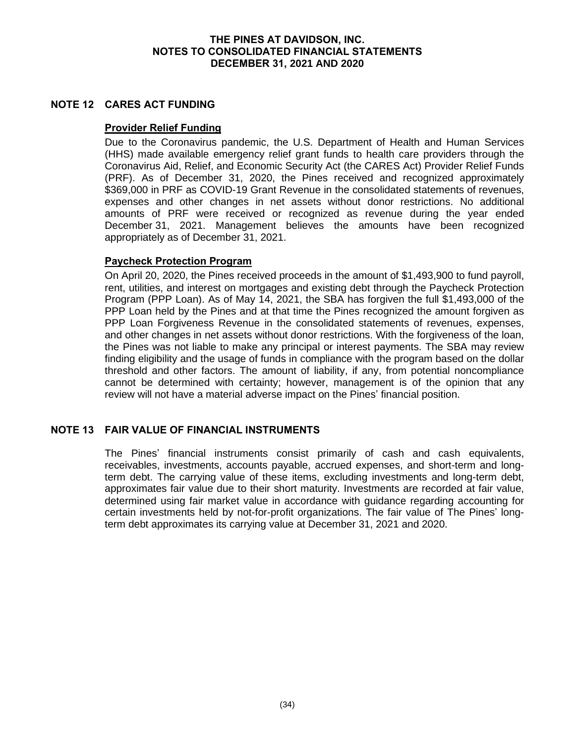# **NOTE 12 CARES ACT FUNDING**

# **Provider Relief Funding**

Due to the Coronavirus pandemic, the U.S. Department of Health and Human Services (HHS) made available emergency relief grant funds to health care providers through the Coronavirus Aid, Relief, and Economic Security Act (the CARES Act) Provider Relief Funds (PRF). As of December 31, 2020, the Pines received and recognized approximately \$369,000 in PRF as COVID-19 Grant Revenue in the consolidated statements of revenues, expenses and other changes in net assets without donor restrictions. No additional amounts of PRF were received or recognized as revenue during the year ended December 31, 2021. Management believes the amounts have been recognized appropriately as of December 31, 2021.

# **Paycheck Protection Program**

On April 20, 2020, the Pines received proceeds in the amount of \$1,493,900 to fund payroll, rent, utilities, and interest on mortgages and existing debt through the Paycheck Protection Program (PPP Loan). As of May 14, 2021, the SBA has forgiven the full \$1,493,000 of the PPP Loan held by the Pines and at that time the Pines recognized the amount forgiven as PPP Loan Forgiveness Revenue in the consolidated statements of revenues, expenses, and other changes in net assets without donor restrictions. With the forgiveness of the loan, the Pines was not liable to make any principal or interest payments. The SBA may review finding eligibility and the usage of funds in compliance with the program based on the dollar threshold and other factors. The amount of liability, if any, from potential noncompliance cannot be determined with certainty; however, management is of the opinion that any review will not have a material adverse impact on the Pines' financial position.

# **NOTE 13 FAIR VALUE OF FINANCIAL INSTRUMENTS**

The Pines' financial instruments consist primarily of cash and cash equivalents, receivables, investments, accounts payable, accrued expenses, and short-term and longterm debt. The carrying value of these items, excluding investments and long-term debt, approximates fair value due to their short maturity. Investments are recorded at fair value, determined using fair market value in accordance with guidance regarding accounting for certain investments held by not-for-profit organizations. The fair value of The Pines' longterm debt approximates its carrying value at December 31, 2021 and 2020.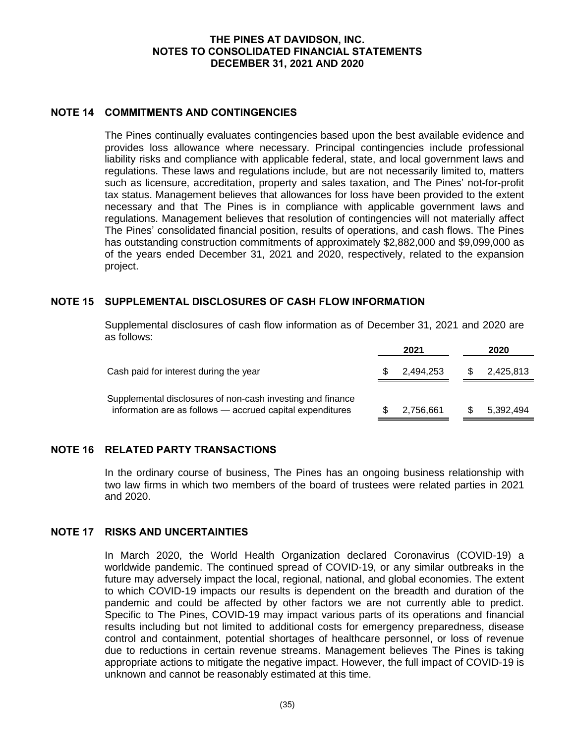# **NOTE 14 COMMITMENTS AND CONTINGENCIES**

The Pines continually evaluates contingencies based upon the best available evidence and provides loss allowance where necessary. Principal contingencies include professional liability risks and compliance with applicable federal, state, and local government laws and regulations. These laws and regulations include, but are not necessarily limited to, matters such as licensure, accreditation, property and sales taxation, and The Pines' not-for-profit tax status. Management believes that allowances for loss have been provided to the extent necessary and that The Pines is in compliance with applicable government laws and regulations. Management believes that resolution of contingencies will not materially affect The Pines' consolidated financial position, results of operations, and cash flows. The Pines has outstanding construction commitments of approximately \$2,882,000 and \$9,099,000 as of the years ended December 31, 2021 and 2020, respectively, related to the expansion project.

# **NOTE 15 SUPPLEMENTAL DISCLOSURES OF CASH FLOW INFORMATION**

Supplemental disclosures of cash flow information as of December 31, 2021 and 2020 are as follows:

|                                                                                                                         | 2021      |     | 2020      |
|-------------------------------------------------------------------------------------------------------------------------|-----------|-----|-----------|
| Cash paid for interest during the year                                                                                  | 2.494.253 | \$. | 2,425,813 |
| Supplemental disclosures of non-cash investing and finance<br>information are as follows - accrued capital expenditures | 2,756,661 |     | 5,392,494 |

# **NOTE 16 RELATED PARTY TRANSACTIONS**

In the ordinary course of business, The Pines has an ongoing business relationship with two law firms in which two members of the board of trustees were related parties in 2021 and 2020.

# **NOTE 17 RISKS AND UNCERTAINTIES**

In March 2020, the World Health Organization declared Coronavirus (COVID-19) a worldwide pandemic. The continued spread of COVID-19, or any similar outbreaks in the future may adversely impact the local, regional, national, and global economies. The extent to which COVID-19 impacts our results is dependent on the breadth and duration of the pandemic and could be affected by other factors we are not currently able to predict. Specific to The Pines, COVID-19 may impact various parts of its operations and financial results including but not limited to additional costs for emergency preparedness, disease control and containment, potential shortages of healthcare personnel, or loss of revenue due to reductions in certain revenue streams. Management believes The Pines is taking appropriate actions to mitigate the negative impact. However, the full impact of COVID-19 is unknown and cannot be reasonably estimated at this time.